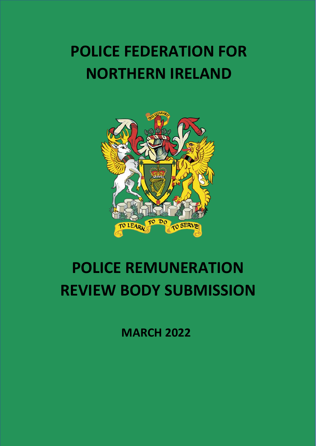# **POLICE FEDERATION FOR NORTHERN IRELAND**



# **POLICE REMUNERATION REVIEW BODY SUBMISSION**

**MARCH 2022**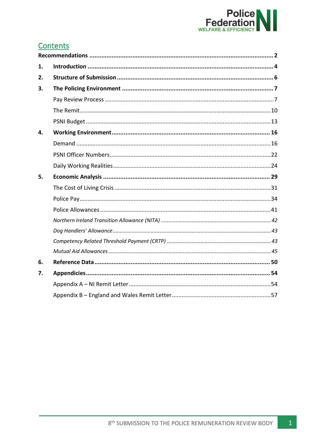

## **Contents**

| 1. |  |
|----|--|
| 2. |  |
| 3. |  |
|    |  |
|    |  |
|    |  |
| 4. |  |
|    |  |
|    |  |
|    |  |
| 5. |  |
|    |  |
|    |  |
|    |  |
|    |  |
|    |  |
|    |  |
|    |  |
| 6. |  |
| 7. |  |
|    |  |
|    |  |

 $\vert 1 \vert$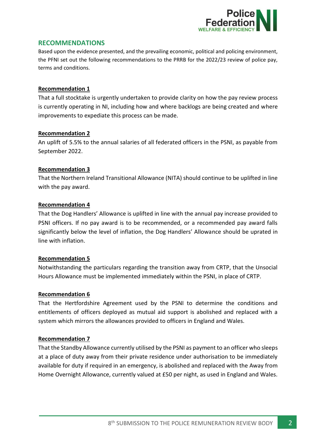

## <span id="page-2-0"></span>**RECOMMENDATIONS**

Based upon the evidence presented, and the prevailing economic, political and policing environment, the PFNI set out the following recommendations to the PRRB for the 2022/23 review of police pay, terms and conditions.

#### **Recommendation 1**

That a full stocktake is urgently undertaken to provide clarity on how the pay review process is currently operating in NI, including how and where backlogs are being created and where improvements to expediate this process can be made.

#### **Recommendation 2**

An uplift of 5.5% to the annual salaries of all federated officers in the PSNI, as payable from September 2022.

#### **Recommendation 3**

That the Northern Ireland Transitional Allowance (NITA) should continue to be uplifted in line with the pay award.

#### **Recommendation 4**

That the Dog Handlers' Allowance is uplifted in line with the annual pay increase provided to PSNI officers. If no pay award is to be recommended, or a recommended pay award falls significantly below the level of inflation, the Dog Handlers' Allowance should be uprated in line with inflation.

#### **Recommendation 5**

Notwithstanding the particulars regarding the transition away from CRTP, that the Unsocial Hours Allowance must be implemented immediately within the PSNI, in place of CRTP.

#### **Recommendation 6**

That the Hertfordshire Agreement used by the PSNI to determine the conditions and entitlements of officers deployed as mutual aid support is abolished and replaced with a system which mirrors the allowances provided to officers in England and Wales.

#### **Recommendation 7**

That the Standby Allowance currently utilised by the PSNI as payment to an officer who sleeps at a place of duty away from their private residence under authorisation to be immediately available for duty if required in an emergency, is abolished and replaced with the Away from Home Overnight Allowance, currently valued at £50 per night, as used in England and Wales.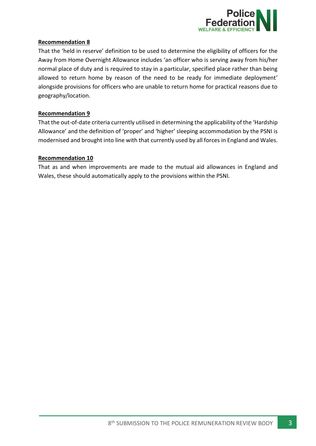

## **Recommendation 8**

That the 'held in reserve' definition to be used to determine the eligibility of officers for the Away from Home Overnight Allowance includes 'an officer who is serving away from his/her normal place of duty and is required to stay in a particular, specified place rather than being allowed to return home by reason of the need to be ready for immediate deployment' alongside provisions for officers who are unable to return home for practical reasons due to geography/location.

## **Recommendation 9**

That the out-of-date criteria currently utilised in determining the applicability of the 'Hardship Allowance' and the definition of 'proper' and 'higher' sleeping accommodation by the PSNI is modernised and brought into line with that currently used by all forces in England and Wales.

#### **Recommendation 10**

That as and when improvements are made to the mutual aid allowances in England and Wales, these should automatically apply to the provisions within the PSNI.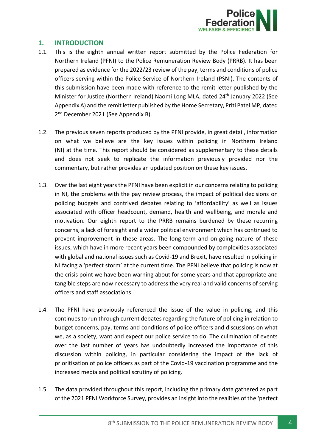

## <span id="page-4-0"></span>**1. INTRODUCTION**

- 1.1. This is the eighth annual written report submitted by the Police Federation for Northern Ireland (PFNI) to the Police Remuneration Review Body (PRRB). It has been prepared as evidence for the 2022/23 review of the pay, terms and conditions of police officers serving within the Police Service of Northern Ireland (PSNI). The contents of this submission have been made with reference to the remit letter published by the Minister for Justice (Northern Ireland) Naomi Long MLA, dated 24th January 2022 (See Appendix A) and the remit letter published by the Home Secretary, Priti Patel MP, dated 2<sup>nd</sup> December 2021 (See Appendix B).
- 1.2. The previous seven reports produced by the PFNI provide, in great detail, information on what we believe are the key issues within policing in Northern Ireland (NI) at the time. This report should be considered as supplementary to these details and does not seek to replicate the information previously provided nor the commentary, but rather provides an updated position on these key issues.
- 1.3. Over the last eight years the PFNI have been explicit in our concerns relating to policing in NI, the problems with the pay review process, the impact of political decisions on policing budgets and contrived debates relating to 'affordability' as well as issues associated with officer headcount, demand, health and wellbeing, and morale and motivation. Our eighth report to the PRRB remains burdened by these recurring concerns, a lack of foresight and a wider political environment which has continued to prevent improvement in these areas. The long-term and on-going nature of these issues, which have in more recent years been compounded by complexities associated with global and national issues such as Covid-19 and Brexit, have resulted in policing in NI facing a 'perfect storm' at the current time. The PFNI believe that policing is now at the crisis point we have been warning about for some years and that appropriate and tangible steps are now necessary to address the very real and valid concerns of serving officers and staff associations.
- 1.4. The PFNI have previously referenced the issue of the value in policing, and this continues to run through current debates regarding the future of policing in relation to budget concerns, pay, terms and conditions of police officers and discussions on what we, as a society, want and expect our police service to do. The culmination of events over the last number of years has undoubtedly increased the importance of this discussion within policing, in particular considering the impact of the lack of prioritisation of police officers as part of the Covid-19 vaccination programme and the increased media and political scrutiny of policing.
- 1.5. The data provided throughout this report, including the primary data gathered as part of the 2021 PFNI Workforce Survey, provides an insight into the realities of the 'perfect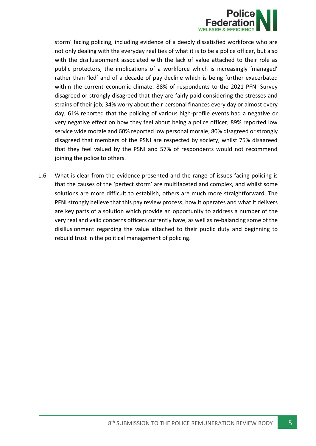

storm' facing policing, including evidence of a deeply dissatisfied workforce who are not only dealing with the everyday realities of what it is to be a police officer, but also with the disillusionment associated with the lack of value attached to their role as public protectors, the implications of a workforce which is increasingly 'managed' rather than 'led' and of a decade of pay decline which is being further exacerbated within the current economic climate. 88% of respondents to the 2021 PFNI Survey disagreed or strongly disagreed that they are fairly paid considering the stresses and strains of their job; 34% worry about their personal finances every day or almost every day; 61% reported that the policing of various high-profile events had a negative or very negative effect on how they feel about being a police officer; 89% reported low service wide morale and 60% reported low personal morale; 80% disagreed or strongly disagreed that members of the PSNI are respected by society, whilst 75% disagreed that they feel valued by the PSNI and 57% of respondents would not recommend joining the police to others.

1.6. What is clear from the evidence presented and the range of issues facing policing is that the causes of the 'perfect storm' are multifaceted and complex, and whilst some solutions are more difficult to establish, others are much more straightforward. The PFNI strongly believe that this pay review process, how it operates and what it delivers are key parts of a solution which provide an opportunity to address a number of the very real and valid concerns officers currently have, as well as re-balancing some of the disillusionment regarding the value attached to their public duty and beginning to rebuild trust in the political management of policing.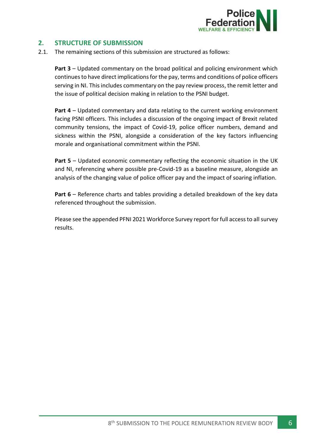

## <span id="page-6-0"></span>**2. STRUCTURE OF SUBMISSION**

2.1. The remaining sections of this submission are structured as follows:

**Part 3** – Updated commentary on the broad political and policing environment which continues to have direct implications for the pay, terms and conditions of police officers serving in NI. This includes commentary on the pay review process, the remit letter and the issue of political decision making in relation to the PSNI budget.

**Part 4** – Updated commentary and data relating to the current working environment facing PSNI officers. This includes a discussion of the ongoing impact of Brexit related community tensions, the impact of Covid-19, police officer numbers, demand and sickness within the PSNI, alongside a consideration of the key factors influencing morale and organisational commitment within the PSNI.

**Part 5** – Updated economic commentary reflecting the economic situation in the UK and NI, referencing where possible pre-Covid-19 as a baseline measure, alongside an analysis of the changing value of police officer pay and the impact of soaring inflation.

**Part 6** – Reference charts and tables providing a detailed breakdown of the key data referenced throughout the submission.

Please see the appended PFNI 2021 Workforce Survey report for full access to all survey results.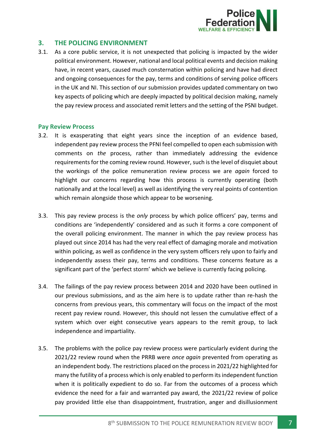

## <span id="page-7-0"></span>**3. THE POLICING ENVIRONMENT**

3.1. As a core public service, it is not unexpected that policing is impacted by the wider political environment. However, national and local political events and decision making have, in recent years, caused much consternation within policing and have had direct and ongoing consequences for the pay, terms and conditions of serving police officers in the UK and NI. This section of our submission provides updated commentary on two key aspects of policing which are deeply impacted by political decision making, namely the pay review process and associated remit letters and the setting of the PSNI budget.

#### <span id="page-7-1"></span>**Pay Review Process**

- 3.2. It is exasperating that eight years since the inception of an evidence based, independent pay review process the PFNI feel compelled to open each submission with comments on *the* process, rather than immediately addressing the evidence requirements for the coming review round. However, such is the level of disquiet about the workings of the police remuneration review process we are *again* forced to highlight our concerns regarding how this process is currently operating (both nationally and at the local level) as well as identifying the very real points of contention which remain alongside those which appear to be worsening.
- 3.3. This pay review process is the *only* process by which police officers' pay, terms and conditions are 'independently' considered and as such it forms a core component of the overall policing environment. The manner in which the pay review process has played out since 2014 has had the very real effect of damaging morale and motivation within policing, as well as confidence in the very system officers rely upon to fairly and independently assess their pay, terms and conditions. These concerns feature as a significant part of the 'perfect storm' which we believe is currently facing policing.
- 3.4. The failings of the pay review process between 2014 and 2020 have been outlined in our previous submissions, and as the aim here is to update rather than re-hash the concerns from previous years, this commentary will focus on the impact of the most recent pay review round. However, this should not lessen the cumulative effect of a system which over eight consecutive years appears to the remit group, to lack independence and impartiality.
- 3.5. The problems with the police pay review process were particularly evident during the 2021/22 review round when the PRRB were *once again* prevented from operating as an independent body. The restrictions placed on the process in 2021/22 highlighted for many the futility of a process which is only enabled to perform its independent function when it is politically expedient to do so. Far from the outcomes of a process which evidence the need for a fair and warranted pay award, the 2021/22 review of police pay provided little else than disappointment, frustration, anger and disillusionment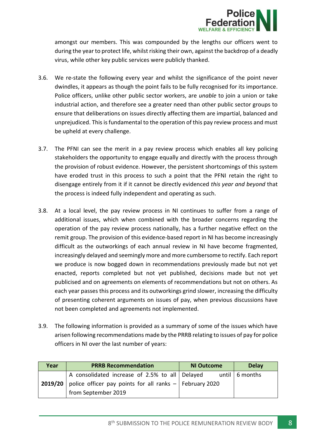

amongst our members. This was compounded by the lengths our officers went to during the year to protect life, whilst risking their own, against the backdrop of a deadly virus, while other key public services were publicly thanked.

- 3.6. We re-state the following every year and whilst the significance of the point never dwindles, it appears as though the point fails to be fully recognised for its importance. Police officers, unlike other public sector workers, are *unable* to join a union or take industrial action, and therefore see a greater need than other public sector groups to ensure that deliberations on issues directly affecting them are impartial, balanced and unprejudiced. This is fundamental to the operation of this pay review process and must be upheld at every challenge.
- 3.7. The PFNI can see the merit in a pay review process which enables all key policing stakeholders the opportunity to engage equally and directly with the process through the provision of robust evidence. However, the persistent shortcomings of this system have eroded trust in this process to such a point that the PFNI retain the right to disengage entirely from it if it cannot be directly evidenced *this year and beyond* that the process is indeed fully independent and operating as such.
- 3.8. At a local level, the pay review process in NI continues to suffer from a range of additional issues, which when combined with the broader concerns regarding the operation of the pay review process nationally, has a further negative effect on the remit group. The provision of this evidence-based report in NI has become increasingly difficult as the outworkings of each annual review in NI have become fragmented, increasingly delayed and seemingly more and more cumbersome to rectify. Each report we produce is now bogged down in recommendations previously made but not yet enacted, reports completed but not yet published, decisions made but not yet publicised and on agreements on elements of recommendations but not on others. As each year passes this process and its outworkings grind slower, increasing the difficulty of presenting coherent arguments on issues of pay, when previous discussions have not been completed and agreements not implemented.
- 3.9. The following information is provided as a summary of some of the issues which have arisen following recommendations made by the PRRB relating to issues of pay for police officers in NI over the last number of years:

| Year | <b>PRRB Recommendation</b>                                               | <b>NI Outcome</b> | <b>Delay</b>           |
|------|--------------------------------------------------------------------------|-------------------|------------------------|
|      | A consolidated increase of 2.5% to all   Delayed                         |                   | until $\vert$ 6 months |
|      | <b>2019/20</b> police officer pay points for all ranks $-$ February 2020 |                   |                        |
|      | from September 2019                                                      |                   |                        |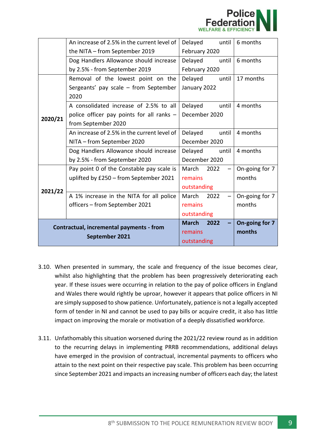

|         | An increase of 2.5% in the current level of | Delayed<br>until     | 6 months       |
|---------|---------------------------------------------|----------------------|----------------|
|         | the NITA - from September 2019              | February 2020        |                |
|         | Dog Handlers Allowance should increase      | Delayed<br>until     | 6 months       |
|         | by 2.5% - from September 2019               |                      |                |
|         | Removal of the lowest point on the          | Delayed<br>until     | 17 months      |
|         | Sergeants' pay scale - from September       | January 2022         |                |
|         | 2020                                        |                      |                |
|         | A consolidated increase of 2.5% to all      | Delayed<br>until     | 4 months       |
| 2020/21 | police officer pay points for all ranks -   |                      |                |
|         | from September 2020                         |                      |                |
|         | An increase of 2.5% in the current level of | Delayed<br>until     | 4 months       |
|         | NITA - from September 2020                  | December 2020        |                |
|         | Dog Handlers Allowance should increase      | until<br>Delayed     | 4 months       |
|         | by 2.5% - from September 2020               | December 2020        |                |
|         | Pay point 0 of the Constable pay scale is   | March<br>2022        | On-going for 7 |
|         | uplifted by £250 - from September 2021      | remains              | months         |
| 2021/22 |                                             | outstanding          |                |
|         | A 1% increase in the NITA for all police    | March<br>2022        | On-going for 7 |
|         | officers – from September 2021              | remains              | months         |
|         |                                             | outstanding          |                |
|         | Contractual, incremental payments - from    | <b>March</b><br>2022 | On-going for 7 |
|         | September 2021                              | remains              | months         |
|         |                                             | outstanding          |                |

- 3.10. When presented in summary, the scale and frequency of the issue becomes clear, whilst also highlighting that the problem has been progressively deteriorating each year. If these issues were occurring in relation to the pay of police officers in England and Wales there would rightly be uproar, however it appears that police officers in NI are simply supposed to show patience. Unfortunately, patience is not a legally accepted form of tender in NI and cannot be used to pay bills or acquire credit, it also has little impact on improving the morale or motivation of a deeply dissatisfied workforce.
- 3.11. Unfathomably this situation worsened during the 2021/22 review round as in addition to the recurring delays in implementing PRRB recommendations, additional delays have emerged in the provision of contractual, incremental payments to officers who attain to the next point on their respective pay scale. This problem has been occurring since September 2021 and impacts an increasing number of officers each day; the latest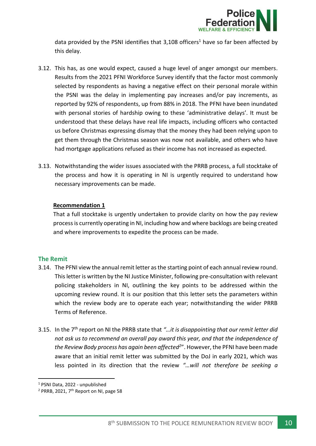

data provided by the PSNI identifies that  $3,108$  officers<sup>1</sup> have so far been affected by this delay.

- 3.12. This has, as one would expect, caused a huge level of anger amongst our members. Results from the 2021 PFNI Workforce Survey identify that the factor most commonly selected by respondents as having a negative effect on their personal morale within the PSNI was the delay in implementing pay increases and/or pay increments, as reported by 92% of respondents, up from 88% in 2018. The PFNI have been inundated with personal stories of hardship owing to these 'administrative delays'. It must be understood that these delays have real life impacts, including officers who contacted us before Christmas expressing dismay that the money they had been relying upon to get them through the Christmas season was now not available, and others who have had mortgage applications refused as their income has not increased as expected.
- 3.13. Notwithstanding the wider issues associated with the PRRB process, a full stocktake of the process and how it is operating in NI is urgently required to understand how necessary improvements can be made.

#### **Recommendation 1**

That a full stocktake is urgently undertaken to provide clarity on how the pay review process is currently operating in NI, including how and where backlogs are being created and where improvements to expedite the process can be made.

#### <span id="page-10-0"></span>**The Remit**

- 3.14. The PFNI view the annual remit letter as the starting point of each annual review round. This letter is written by the NI Justice Minister, following pre-consultation with relevant policing stakeholders in NI, outlining the key points to be addressed within the upcoming review round. It is our position that this letter sets the parameters within which the review body are to operate each year; notwithstanding the wider PRRB Terms of Reference.
- 3.15. In the 7th report on NI the PRRB state that *"…it is disappointing that our remit letter did not ask us to recommend an overall pay award this year, and that the independence of the Review Body process has again been affected<sup>2</sup>* ". However, the PFNI have been made aware that an initial remit letter was submitted by the DoJ in early 2021, which was less pointed in its direction that the review *"…will not therefore be seeking a*

<sup>1</sup> PSNI Data, 2022 - unpublished

 $2$  PRRB, 2021,  $7<sup>th</sup>$  Report on NI, page 58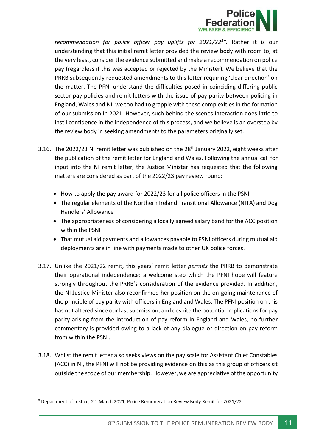

*recommendation for police officer pay uplifts for 2021/22<sup>3</sup> ".* Rather it is our understanding that this initial remit letter provided the review body with room to, at the very least, consider the evidence submitted and make a recommendation on police pay (regardless if this was accepted or rejected by the Minister). We believe that the PRRB subsequently requested amendments to this letter requiring 'clear direction' on the matter. The PFNI understand the difficulties posed in coinciding differing public sector pay policies and remit letters with the issue of pay parity between policing in England, Wales and NI; we too had to grapple with these complexities in the formation of our submission in 2021. However, such behind the scenes interaction does little to instil confidence in the independence of this process, and we believe is an overstep by the review body in seeking amendments to the parameters originally set.

- 3.16. The 2022/23 NI remit letter was published on the 28<sup>th</sup> January 2022, eight weeks after the publication of the remit letter for England and Wales. Following the annual call for input into the NI remit letter, the Justice Minister has requested that the following matters are considered as part of the 2022/23 pay review round:
	- How to apply the pay award for 2022/23 for all police officers in the PSNI
	- The regular elements of the Northern Ireland Transitional Allowance (NITA) and Dog Handlers' Allowance
	- The appropriateness of considering a locally agreed salary band for the ACC position within the PSNI
	- That mutual aid payments and allowances payable to PSNI officers during mutual aid deployments are in line with payments made to other UK police forces.
- 3.17. Unlike the 2021/22 remit, this years' remit letter *permits* the PRRB to demonstrate their operational independence: a welcome step which the PFNI hope will feature strongly throughout the PRRB's consideration of the evidence provided. In addition, the NI Justice Minister also reconfirmed her position on the on-going maintenance of the principle of pay parity with officers in England and Wales. The PFNI position on this has not altered since our last submission, and despite the potential implications for pay parity arising from the introduction of pay reform in England and Wales, no further commentary is provided owing to a lack of any dialogue or direction on pay reform from within the PSNI.
- 3.18. Whilst the remit letter also seeks views on the pay scale for Assistant Chief Constables (ACC) in NI, the PFNI will not be providing evidence on this as this group of officers sit outside the scope of our membership. However, we are appreciative of the opportunity

<sup>&</sup>lt;sup>3</sup> Department of Justice,  $2^{nd}$  March 2021, Police Remuneration Review Body Remit for 2021/22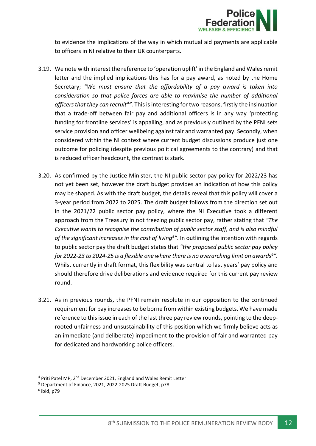

to evidence the implications of the way in which mutual aid payments are applicable to officers in NI relative to their UK counterparts.

- 3.19. We note with interest the reference to 'operation uplift' in the England and Wales remit letter and the implied implications this has for a pay award, as noted by the Home Secretary; *"We must ensure that the affordability of a pay award is taken into consideration so that police forces are able to maximise the number of additional officers that they can recruit<sup>4</sup> ".* This is interesting for two reasons, firstly the insinuation that a trade-off between fair pay and additional officers is in any way 'protecting funding for frontline services' is appalling, and as previously outlined by the PFNI sets service provision and officer wellbeing against fair and warranted pay. Secondly, when considered within the NI context where current budget discussions produce just one outcome for policing (despite previous political agreements to the contrary) and that is reduced officer headcount, the contrast is stark.
- 3.20. As confirmed by the Justice Minister, the NI public sector pay policy for 2022/23 has not yet been set, however the draft budget provides an indication of how this policy may be shaped. As with the draft budget, the details reveal that this policy will cover a 3-year period from 2022 to 2025. The draft budget follows from the direction set out in the 2021/22 public sector pay policy, where the NI Executive took a different approach from the Treasury in not freezing public sector pay, rather stating that *"The Executive wants to recognise the contribution of public sector staff, and is also mindful of the significant increases in the cost of living<sup>5</sup> "*. In outlining the intention with regards to public sector pay the draft budget states that *"the proposed public sector pay policy for 2022-23 to 2024-25 is a flexible one where there is no overarching limit on awards<sup>6</sup> ".* Whilst currently in draft format, this flexibility was central to last years' pay policy and should therefore drive deliberations and evidence required for this current pay review round.
- 3.21. As in previous rounds, the PFNI remain resolute in our opposition to the continued requirement for pay increases to be borne from within existing budgets. We have made reference to this issue in each of the last three pay review rounds, pointing to the deeprooted unfairness and unsustainability of this position which we firmly believe acts as an immediate (and deliberate) impediment to the provision of fair and warranted pay for dedicated and hardworking police officers.

 $^6$  ibid, p79

<sup>&</sup>lt;sup>4</sup> Priti Patel MP, 2<sup>nd</sup> December 2021, England and Wales Remit Letter

<sup>5</sup> Department of Finance, 2021, 2022-2025 Draft Budget, p78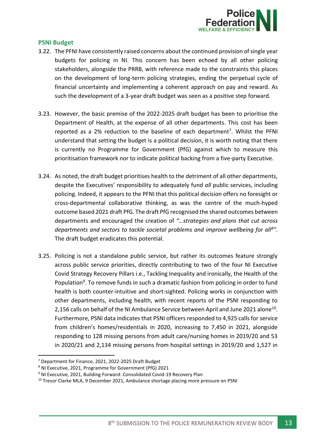

#### <span id="page-13-0"></span>**PSNI Budget**

- 3.22. The PFNI have consistently raised concerns about the continued provision of single year budgets for policing in NI. This concern has been echoed by all other policing stakeholders, alongside the PRRB, with reference made to the constraints this places on the development of long-term policing strategies, ending the perpetual cycle of financial uncertainty and implementing a coherent approach on pay and reward. As such the development of a 3-year draft budget was seen as a positive step forward.
- 3.23. However, the basic premise of the 2022-2025 draft budget has been to prioritise the Department of Health, at the expense of all other departments. This cost has been reported as a 2% reduction to the baseline of each department<sup>7</sup>. Whilst the PFNI understand that setting the budget is a political decision, it is worth noting that there is currently no Programme for Government (PfG) against which to measure this prioritisation framework nor to indicate political backing from a five-party Executive.
- 3.24. As noted, the draft budget prioritises health to the detriment of all other departments, despite the Executives' responsibility to adequately fund *all* public services, including policing. Indeed, it appears to the PFNI that this political decision offers no foresight or cross-departmental collaborative thinking, as was the centre of the much-hyped outcome based 2021 draft PfG. The draft PfG recognised the shared outcomes between departments and encouraged the creation of *"…strategies and plans that cut across departments and sectors to tackle societal problems and improve wellbeing for all<sup>8</sup> ".* The draft budget eradicates this potential.
- 3.25. Policing is not a standalone public service, but rather its outcomes feature strongly across public service priorities, directly contributing to two of the four NI Executive Covid Strategy Recovery Pillars i.e., Tackling Inequality and ironically, the Health of the Population<sup>9</sup>. To remove funds in such a dramatic fashion from policing in order to fund health is both counter-intuitive and short-sighted. Policing works in conjunction with other departments, including health, with recent reports of the PSNI responding to 2,156 calls on behalf of the NI Ambulance Service between April and June 2021 alone<sup>10</sup>. Furthermore, PSNI data indicates that PSNI officers responded to 4,925 calls for service from children's homes/residentials in 2020, increasing to 7,450 in 2021, alongside responding to 128 missing persons from adult care/nursing homes in 2019/20 and 53 in 2020/21 and 2,134 missing persons from hospital settings in 2019/20 and 1,527 in

<sup>7</sup> Department for Finance, 2021, 2022-2025 Draft Budget

<sup>8</sup> NI Executive, 2021, Programme for Government (PfG) 2021

<sup>&</sup>lt;sup>9</sup> NI Executive, 2021, Building Forward: Consolidated Covid-19 Recovery Plan

<sup>&</sup>lt;sup>10</sup> Trevor Clarke MLA, 9 December 2021, Ambulance shortage placing more pressure on PSNI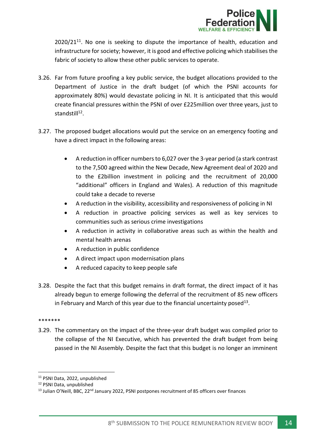

 $2020/21^{11}$ . No one is seeking to dispute the importance of health, education and infrastructure for society; however, it is good and effective policing which stabilises the fabric of society to allow these other public services to operate.

- 3.26. Far from future proofing a key public service, the budget allocations provided to the Department of Justice in the draft budget (of which the PSNI accounts for approximately 80%) would devastate policing in NI. It is anticipated that this would create financial pressures within the PSNI of over £225million over three years, just to standstill<sup>12</sup>.
- 3.27. The proposed budget allocations would put the service on an emergency footing and have a direct impact in the following areas:
	- A reduction in officer numbers to 6,027 over the 3-year period (a stark contrast to the 7,500 agreed within the New Decade, New Agreement deal of 2020 and to the £2billion investment in policing and the recruitment of 20,000 "additional" officers in England and Wales). A reduction of this magnitude could take a decade to reverse
	- A reduction in the visibility, accessibility and responsiveness of policing in NI
	- A reduction in proactive policing services as well as key services to communities such as serious crime investigations
	- A reduction in activity in collaborative areas such as within the health and mental health arenas
	- A reduction in public confidence
	- A direct impact upon modernisation plans
	- A reduced capacity to keep people safe
- 3.28. Despite the fact that this budget remains in draft format, the direct impact of it has already begun to emerge following the deferral of the recruitment of 85 new officers in February and March of this year due to the financial uncertainty posed<sup>13</sup>.

#### \*\*\*\*\*\*\*

3.29. The commentary on the impact of the three-year draft budget was compiled prior to the collapse of the NI Executive, which has prevented the draft budget from being passed in the NI Assembly. Despite the fact that this budget is no longer an imminent

<sup>11</sup> PSNI Data, 2022, unpublished

<sup>12</sup> PSNI Data, unpublished

 $<sup>13</sup>$  Julian O'Neill, BBC, 22<sup>nd</sup> January 2022, PSNI postpones recruitment of 85 officers over finances</sup>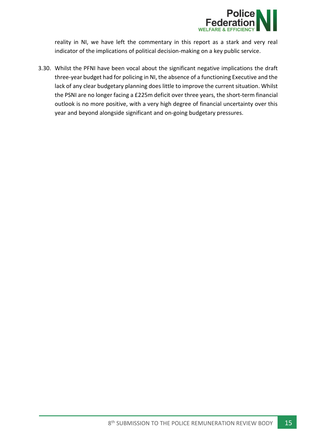

reality in NI, we have left the commentary in this report as a stark and very real indicator of the implications of political decision-making on a key public service.

3.30. Whilst the PFNI have been vocal about the significant negative implications the draft three-year budget had for policing in NI, the absence of a functioning Executive and the lack of any clear budgetary planning does little to improve the current situation. Whilst the PSNI are no longer facing a £225m deficit over three years, the short-term financial outlook is no more positive, with a very high degree of financial uncertainty over this year and beyond alongside significant and on-going budgetary pressures.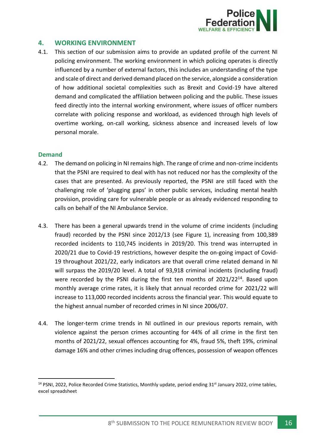

## <span id="page-16-0"></span>**4. WORKING ENVIRONMENT**

4.1. This section of our submission aims to provide an updated profile of the current NI policing environment. The working environment in which policing operates is directly influenced by a number of external factors, this includes an understanding of the type and scale of direct and derived demand placed on the service, alongside a consideration of how additional societal complexities such as Brexit and Covid-19 have altered demand and complicated the affiliation between policing and the public. These issues feed directly into the internal working environment, where issues of officer numbers correlate with policing response and workload, as evidenced through high levels of overtime working, on-call working, sickness absence and increased levels of low personal morale.

#### <span id="page-16-1"></span>**Demand**

- 4.2. The demand on policing in NI remains high. The range of crime and non-crime incidents that the PSNI are required to deal with has not reduced nor has the complexity of the cases that are presented. As previously reported, the PSNI are still faced with the challenging role of 'plugging gaps' in other public services, including mental health provision, providing care for vulnerable people or as already evidenced responding to calls on behalf of the NI Ambulance Service.
- 4.3. There has been a general upwards trend in the volume of crime incidents (including fraud) recorded by the PSNI since 2012/13 (see Figure 1), increasing from 100,389 recorded incidents to 110,745 incidents in 2019/20. This trend was interrupted in 2020/21 due to Covid-19 restrictions, however despite the on-going impact of Covid-19 throughout 2021/22, early indicators are that overall crime related demand in NI will surpass the 2019/20 level. A total of 93,918 criminal incidents (including fraud) were recorded by the PSNI during the first ten months of 2021/22<sup>14</sup>. Based upon monthly average crime rates, it is likely that annual recorded crime for 2021/22 will increase to 113,000 recorded incidents across the financial year. This would equate to the highest annual number of recorded crimes in NI since 2006/07.
- 4.4. The longer-term crime trends in NI outlined in our previous reports remain, with violence against the person crimes accounting for 44% of all crime in the first ten months of 2021/22, sexual offences accounting for 4%, fraud 5%, theft 19%, criminal damage 16% and other crimes including drug offences, possession of weapon offences

<sup>&</sup>lt;sup>14</sup> PSNI, 2022, Police Recorded Crime Statistics, Monthly update, period ending 31<sup>st</sup> January 2022, crime tables, excel spreadsheet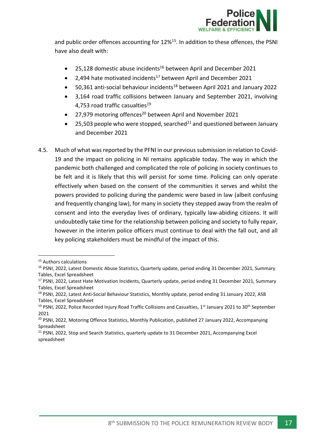

and public order offences accounting for 12%<sup>15</sup>. In addition to these offences, the PSNI have also dealt with:

- 25,128 domestic abuse incidents<sup>16</sup> between April and December 2021
- 2,494 hate motivated incidents<sup>17</sup> between April and December 2021
- $\bullet$  50,361 anti-social behaviour incidents<sup>18</sup> between April 2021 and January 2022
- 3,164 road traffic collisions between January and September 2021, involving 4.753 road traffic casualties<sup>19</sup>
- 27,979 motoring offences<sup>20</sup> between April and November 2021
- 25,503 people who were stopped, searched<sup>21</sup> and questioned between January and December 2021
- 4.5. Much of what was reported by the PFNI in our previous submission in relation to Covid-19 and the impact on policing in NI remains applicable today. The way in which the pandemic both challenged and complicated the role of policing in society continues to be felt and it is likely that this will persist for some time. Policing can only operate effectively when based on the consent of the communities it serves and whilst the powers provided to policing during the pandemic were based in law (albeit confusing and frequently changing law), for many in society they stepped away from the realm of consent and into the everyday lives of ordinary, typically law-abiding citizens. It will undoubtedly take time for the relationship between policing and society to fully repair, however in the interim police officers must continue to deal with the fall out, and all key policing stakeholders must be mindful of the impact of this.

<sup>&</sup>lt;sup>15</sup> Authors calculations

<sup>&</sup>lt;sup>16</sup> PSNI, 2022, Latest Domestic Abuse Statistics, Quarterly update, period ending 31 December 2021, Summary Tables, Excel Spreadsheet

<sup>&</sup>lt;sup>17</sup> PSNI, 2022, Latest Hate Motivation Incidents, Quarterly update, period ending 31 December 2021, Summary Tables, Excel Spreadsheet

<sup>18</sup> PSNI, 2022, Latest Anti-Social Behaviour Statistics, Monthly update, period ending 31 January 2022, ASB Tables, Excel Spreadsheet

<sup>&</sup>lt;sup>19</sup> PSNI, 2022, Police Recorded Injury Road Traffic Collisions and Casualties, 1<sup>st</sup> January 2021 to 30<sup>th</sup> September 2021

<sup>&</sup>lt;sup>20</sup> PSNI, 2022, Motoring Offence Statistics, Monthly Publication, published 27 January 2022, Accompanying Spreadsheet

<sup>&</sup>lt;sup>21</sup> PSNI, 2022, Stop and Search Statistics, quarterly update to 31 December 2021, Accompanying Excel spreadsheet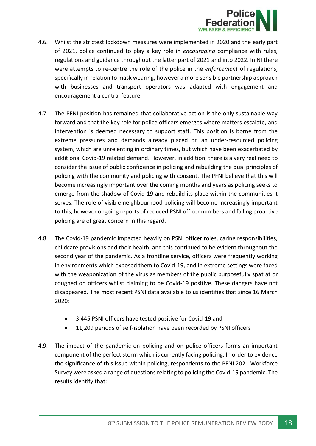

- 4.6. Whilst the strictest lockdown measures were implemented in 2020 and the early part of 2021, police continued to play a key role in *encouraging* compliance with rules, regulations and guidance throughout the latter part of 2021 and into 2022. In NI there were attempts to re-centre the role of the police in the *enforcement* of regulations, specifically in relation to mask wearing, however a more sensible partnership approach with businesses and transport operators was adapted with engagement and encouragement a central feature.
- 4.7. The PFNI position has remained that collaborative action is the only sustainable way forward and that the key role for police officers emerges where matters escalate, and intervention is deemed necessary to support staff. This position is borne from the extreme pressures and demands already placed on an under-resourced policing system, which are unrelenting in ordinary times, but which have been exacerbated by additional Covid-19 related demand. However, in addition, there is a very real need to consider the issue of public confidence in policing and rebuilding the dual principles of policing with the community and policing with consent. The PFNI believe that this will become increasingly important over the coming months and years as policing seeks to emerge from the shadow of Covid-19 and rebuild its place within the communities it serves. The role of visible neighbourhood policing will become increasingly important to this, however ongoing reports of reduced PSNI officer numbers and falling proactive policing are of great concern in this regard.
- 4.8. The Covid-19 pandemic impacted heavily on PSNI officer roles, caring responsibilities, childcare provisions and their health, and this continued to be evident throughout the second year of the pandemic. As a frontline service, officers were frequently working in environments which exposed them to Covid-19, and in extreme settings were faced with the weaponization of the virus as members of the public purposefully spat at or coughed on officers whilst claiming to be Covid-19 positive. These dangers have not disappeared. The most recent PSNI data available to us identifies that since 16 March 2020:
	- 3,445 PSNI officers have tested positive for Covid-19 and
	- 11,209 periods of self-isolation have been recorded by PSNI officers
- 4.9. The impact of the pandemic on policing and on police officers forms an important component of the perfect storm which is currently facing policing. In order to evidence the significance of this issue within policing, respondents to the PFNI 2021 Workforce Survey were asked a range of questions relating to policing the Covid-19 pandemic. The results identify that: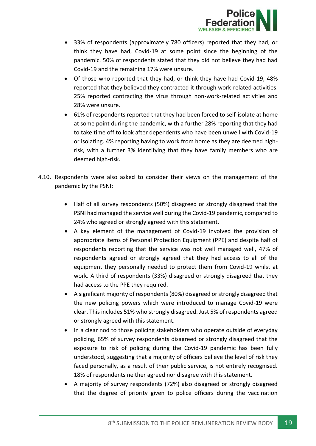

- 33% of respondents (approximately 780 officers) reported that they had, or think they have had, Covid-19 at some point since the beginning of the pandemic. 50% of respondents stated that they did not believe they had had Covid-19 and the remaining 17% were unsure.
- Of those who reported that they had, or think they have had Covid-19, 48% reported that they believed they contracted it through work-related activities. 25% reported contracting the virus through non-work-related activities and 28% were unsure.
- 61% of respondents reported that they had been forced to self-isolate at home at some point during the pandemic, with a further 28% reporting that they had to take time off to look after dependents who have been unwell with Covid-19 or isolating. 4% reporting having to work from home as they are deemed highrisk, with a further 3% identifying that they have family members who are deemed high-risk.
- 4.10. Respondents were also asked to consider their views on the management of the pandemic by the PSNI:
	- Half of all survey respondents (50%) disagreed or strongly disagreed that the PSNI had managed the service well during the Covid-19 pandemic, compared to 24% who agreed or strongly agreed with this statement.
	- A key element of the management of Covid-19 involved the provision of appropriate items of Personal Protection Equipment (PPE) and despite half of respondents reporting that the service was not well managed well, 47% of respondents agreed or strongly agreed that they had access to all of the equipment they personally needed to protect them from Covid-19 whilst at work. A third of respondents (33%) disagreed or strongly disagreed that they had access to the PPE they required.
	- A significant majority of respondents (80%) disagreed or strongly disagreed that the new policing powers which were introduced to manage Covid-19 were clear. This includes 51% who strongly disagreed. Just 5% of respondents agreed or strongly agreed with this statement.
	- In a clear nod to those policing stakeholders who operate outside of everyday policing, 65% of survey respondents disagreed or strongly disagreed that the exposure to risk of policing during the Covid-19 pandemic has been fully understood, suggesting that a majority of officers believe the level of risk they faced personally, as a result of their public service, is not entirely recognised. 18% of respondents neither agreed nor disagree with this statement.
	- A majority of survey respondents (72%) also disagreed or strongly disagreed that the degree of priority given to police officers during the vaccination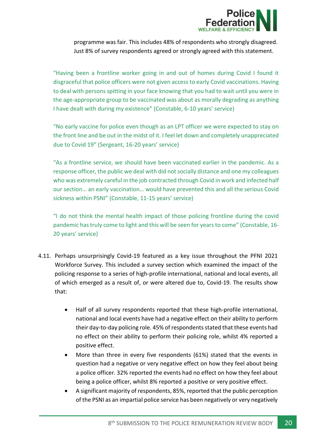

programme was fair. This includes 48% of respondents who strongly disagreed. Just 8% of survey respondents agreed or strongly agreed with this statement.

"Having been a frontline worker going in and out of homes during Covid I found it disgraceful that police officers were not given access to early Covid vaccinations. Having to deal with persons spitting in your face knowing that you had to wait until you were in the age-appropriate group to be vaccinated was about as morally degrading as anything I have dealt with during my existence" (Constable, 6-10 years' service)

"No early vaccine for police even though as an LPT officer we were expected to stay on the front line and be out in the midst of it. I feel let down and completely unappreciated due to Covid 19" (Sergeant, 16-20 years' service)

"As a frontline service, we should have been vaccinated earlier in the pandemic. As a response officer, the public we deal with did not socially distance and one my colleagues who was extremely careful in the job contracted through Covid in work and infected half our section… an early vaccination… would have prevented this and all the serious Covid sickness within PSNI" (Constable, 11-15 years' service)

"I do not think the mental health impact of those policing frontline during the covid pandemic has truly come to light and this will be seen for years to come" (Constable, 16- 20 years' service)

- 4.11. Perhaps unsurprisingly Covid-19 featured as a key issue throughout the PFNI 2021 Workforce Survey. This included a survey section which examined the impact of the policing response to a series of high-profile international, national and local events, all of which emerged as a result of, or were altered due to, Covid-19. The results show that:
	- Half of all survey respondents reported that these high-profile international, national and local events have had a negative effect on their ability to perform their day-to-day policing role. 45% of respondents stated that these events had no effect on their ability to perform their policing role, whilst 4% reported a positive effect.
	- More than three in every five respondents (61%) stated that the events in question had a negative or very negative effect on how they feel about being a police officer. 32% reported the events had no effect on how they feel about being a police officer, whilst 8% reported a positive or very positive effect.
	- A significant majority of respondents, 85%, reported that the public perception of the PSNI as an impartial police service has been negatively or very negatively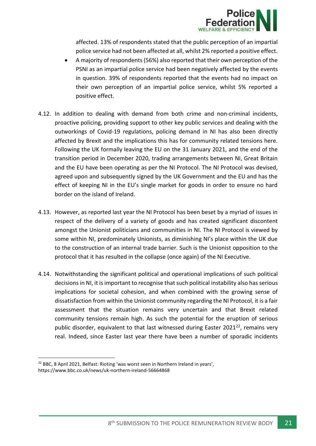

affected. 13% of respondents stated that the public perception of an impartial police service had not been affected at all, whilst 2% reported a positive effect.

- A majority of respondents (56%) also reported that their own perception of the PSNI as an impartial police service had been negatively affected by the events in question. 39% of respondents reported that the events had no impact on their own perception of an impartial police service, whilst 5% reported a positive effect.
- 4.12. In addition to dealing with demand from both crime and non-criminal incidents, proactive policing, providing support to other key public services and dealing with the outworkings of Covid-19 regulations, policing demand in NI has also been directly affected by Brexit and the implications this has for community related tensions here. Following the UK formally leaving the EU on the 31 January 2021, and the end of the transition period in December 2020, trading arrangements between NI, Great Britain and the EU have been operating as per the NI Protocol. The NI Protocol was devised, agreed upon and subsequently signed by the UK Government and the EU and has the effect of keeping NI in the EU's single market for goods in order to ensure no hard border on the island of Ireland.
- 4.13. However, as reported last year the NI Protocol has been beset by a myriad of issues in respect of the delivery of a variety of goods and has created significant discontent amongst the Unionist politicians and communities in NI. The NI Protocol is viewed by some within NI, predominately Unionists, as diminishing NI's place within the UK due to the construction of an internal trade barrier. Such is the Unionist opposition to the protocol that it has resulted in the collapse (once again) of the NI Executive.
- 4.14. Notwithstanding the significant political and operational implications of such political decisions in NI, it is important to recognise that such political instability also has serious implications for societal cohesion, and when combined with the growing sense of dissatisfaction from within the Unionist community regarding the NI Protocol, it is a fair assessment that the situation remains very uncertain and that Brexit related community tensions remain high. As such the potential for the eruption of serious public disorder, equivalent to that last witnessed during Easter 2021 $^{22}$ , remains very real. Indeed, since Easter last year there have been a number of sporadic incidents

https://www.bbc.co.uk/news/uk-northern-ireland-56664868

<sup>&</sup>lt;sup>22</sup> BBC, 8 April 2021, Belfast: Rioting 'was worst seen in Northern Ireland in years',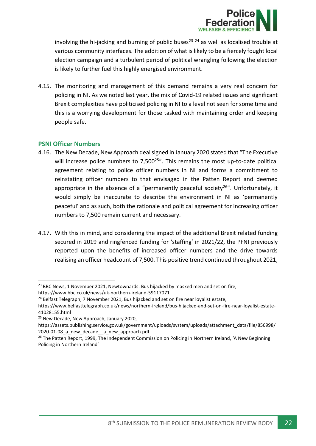

involving the hi-jacking and burning of public buses<sup>23 24</sup> as well as localised trouble at various community interfaces. The addition of what is likely to be a fiercely fought local election campaign and a turbulent period of political wrangling following the election is likely to further fuel this highly energised environment.

4.15. The monitoring and management of this demand remains a very real concern for policing in NI. As we noted last year, the mix of Covid-19 related issues and significant Brexit complexities have politicised policing in NI to a level not seen for some time and this is a worrying development for those tasked with maintaining order and keeping people safe.

## <span id="page-22-0"></span>**PSNI Officer Numbers**

- 4.16. The New Decade, New Approach deal signed in January 2020 stated that "The Executive will increase police numbers to 7,500<sup>25"</sup>. This remains the most up-to-date political agreement relating to police officer numbers in NI and forms a commitment to reinstating officer numbers to that envisaged in the Patten Report and deemed appropriate in the absence of a "permanently peaceful society<sup>26"</sup>. Unfortunately, it would simply be inaccurate to describe the environment in NI as 'permanently peaceful' and as such, both the rationale and political agreement for increasing officer numbers to 7,500 remain current and necessary.
- 4.17. With this in mind, and considering the impact of the additional Brexit related funding secured in 2019 and ringfenced funding for 'staffing' in 2021/22, the PFNI previously reported upon the benefits of increased officer numbers and the drive towards realising an officer headcount of 7,500. This positive trend continued throughout 2021,

 $23$  BBC News, 1 November 2021, Newtownards: Bus hijacked by masked men and set on fire, https://www.bbc.co.uk/news/uk-northern-ireland-59117071

<sup>&</sup>lt;sup>24</sup> Belfast Telegraph, 7 November 2021, Bus hijacked and set on fire near loyalist estate,

https://www.belfasttelegraph.co.uk/news/northern-ireland/bus-hijacked-and-set-on-fire-near-loyalist-estate-41028155.html

<sup>&</sup>lt;sup>25</sup> New Decade, New Approach, January 2020,

https://assets.publishing.service.gov.uk/government/uploads/system/uploads/attachment\_data/file/856998/ 2020-01-08\_a\_new\_decade\_\_a\_new\_approach.pdf

<sup>&</sup>lt;sup>26</sup> The Patten Report, 1999, The Independent Commission on Policing in Northern Ireland, 'A New Beginning: Policing in Northern Ireland'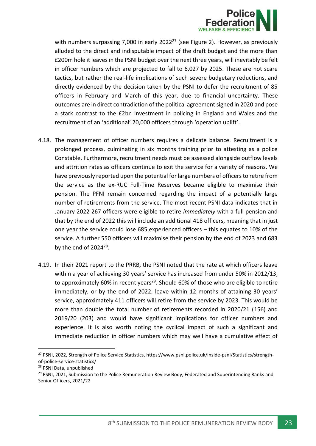

with numbers surpassing 7,000 in early  $2022^{27}$  (see Figure 2). However, as previously alluded to the direct and indisputable impact of the draft budget and the more than £200m hole it leaves in the PSNI budget over the next three years, will inevitably be felt in officer numbers which are projected to fall to 6,027 by 2025. These are not scare tactics, but rather the real-life implications of such severe budgetary reductions, and directly evidenced by the decision taken by the PSNI to defer the recruitment of 85 officers in February and March of this year, due to financial uncertainty. These outcomes are in direct contradiction of the political agreement signed in 2020 and pose a stark contrast to the £2bn investment in policing in England and Wales and the recruitment of an 'additional' 20,000 officers through 'operation uplift'.

- 4.18. The management of officer numbers requires a delicate balance. Recruitment is a prolonged process, culminating in six months training prior to attesting as a police Constable. Furthermore, recruitment needs must be assessed alongside outflow levels and attrition rates as officers continue to exit the service for a variety of reasons. We have previously reported upon the potential for large numbers of officers to retire from the service as the ex-RUC Full-Time Reserves became eligible to maximise their pension. The PFNI remain concerned regarding the impact of a potentially large number of retirements from the service. The most recent PSNI data indicates that in January 2022 267 officers were eligible to retire *immediately* with a full pension and that by the end of 2022 this will include an additional 418 officers, meaning that in just one year the service could lose 685 experienced officers – this equates to 10% of the service. A further 550 officers will maximise their pension by the end of 2023 and 683 by the end of  $2024^{28}$ .
- 4.19. In their 2021 report to the PRRB, the PSNI noted that the rate at which officers leave within a year of achieving 30 years' service has increased from under 50% in 2012/13, to approximately 60% in recent years<sup>29</sup>. Should 60% of those who are eligible to retire immediately, or by the end of 2022, leave within 12 months of attaining 30 years' service, approximately 411 officers will retire from the service by 2023. This would be more than double the total number of retirements recorded in 2020/21 (156) and 2019/20 (203) and would have significant implications for officer numbers and experience. It is also worth noting the cyclical impact of such a significant and immediate reduction in officer numbers which may well have a cumulative effect of

<sup>27</sup> PSNI, 2022, Strength of Police Service Statistics, https://www.psni.police.uk/inside-psni/Statistics/strengthof-police-service-statistics/

<sup>28</sup> PSNI Data, unpublished

<sup>&</sup>lt;sup>29</sup> PSNI, 2021, Submission to the Police Remuneration Review Body, Federated and Superintending Ranks and Senior Officers, 2021/22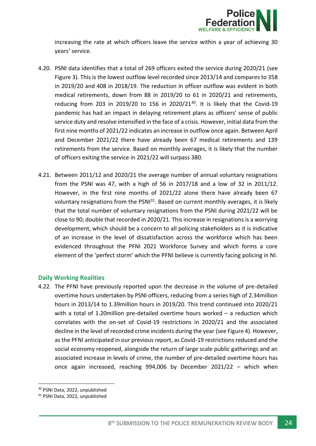

increasing the rate at which officers leave the service within a year of achieving 30 years' service.

- 4.20. PSNI data identifies that a total of 269 officers exited the service during 2020/21 (see Figure 3). This is the lowest outflow level recorded since 2013/14 and compares to 358 in 2019/20 and 408 in 2018/19. The reduction in officer outflow was evident in both medical retirements, down from 88 in 2019/20 to 61 in 2020/21 and retirements, reducing from 203 in 2019/20 to 156 in 2020/21 $30$ . It is likely that the Covid-19 pandemic has had an impact in delaying retirement plans as officers' sense of public service duty and resolve intensified in the face of a crisis. However, initial data from the first nine months of 2021/22 indicates an increase in outflow once again. Between April and December 2021/22 there have already been 67 medical retirements and 139 retirements from the service. Based on monthly averages, it is likely that the number of officers exiting the service in 2021/22 will surpass 380.
- 4.21. Between 2011/12 and 2020/21 the average number of annual voluntary resignations from the PSNI was 47, with a high of 56 in 2017/18 and a low of 32 in 2011/12. However, in the first nine months of 2021/22 alone there have already been 67 voluntary resignations from the PSNI<sup>31</sup>. Based on current monthly averages, it is likely that the total number of voluntary resignations from the PSNI during 2021/22 will be close to 90; double that recorded in 2020/21. This increase in resignations is a worrying development, which should be a concern to all policing stakeholders as it is indicative of an increase in the level of dissatisfaction across the workforce which has been evidenced throughout the PFNI 2021 Workforce Survey and which forms a core element of the 'perfect storm' which the PFNI believe is currently facing policing in NI.

#### <span id="page-24-0"></span>**Daily Working Realities**

4.22. The PFNI have previously reported upon the decrease in the volume of pre-detailed overtime hours undertaken by PSNI officers, reducing from a series high of 2.34million hours in 2013/14 to 1.39million hours in 2019/20. This trend continued into 2020/21 with a total of 1.20million pre-detailed overtime hours worked – a reduction which correlates with the on-set of Covid-19 restrictions in 2020/21 and the associated decline in the level of recorded crime incidents during the year (see Figure 4). However, as the PFNI anticipated in our previous report, as Covid-19 restrictions reduced and the social economy reopened, alongside the return of large scale public gatherings and an associated increase in levels of crime, the number of pre-detailed overtime hours has once again increased, reaching 994,006 by December 2021/22 – which when

<sup>30</sup> PSNI Data, 2022, unpublished

<sup>31</sup> PSNI Data, 2022, unpublished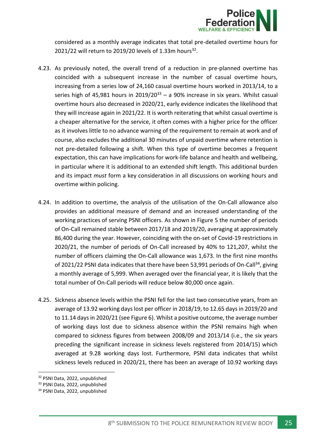

considered as a monthly average indicates that total pre-detailed overtime hours for 2021/22 will return to 2019/20 levels of 1.33m hours<sup>32</sup>.

- 4.23. As previously noted, the overall trend of a reduction in pre-planned overtime has coincided with a subsequent increase in the number of casual overtime hours, increasing from a series low of 24,160 casual overtime hours worked in 2013/14, to a series high of 45,981 hours in  $2019/20^{33}$  – a 90% increase in six years. Whilst casual overtime hours also decreased in 2020/21, early evidence indicates the likelihood that they will increase again in 2021/22. It is worth reiterating that whilst casual overtime is a cheaper alternative for the service, it often comes with a higher price for the officer as it involves little to no advance warning of the requirement to remain at work and of course, also excludes the additional 30 minutes of unpaid overtime where retention is not pre-detailed following a shift. When this type of overtime becomes a frequent expectation, this can have implications for work-life balance and health and wellbeing, in particular where it is additional to an extended shift length. This additional burden and its impact *must* form a key consideration in all discussions on working hours and overtime within policing.
- 4.24. In addition to overtime, the analysis of the utilisation of the On-Call allowance also provides an additional measure of demand and an increased understanding of the working practices of serving PSNI officers. As shown in Figure 5 the number of periods of On-Call remained stable between 2017/18 and 2019/20, averaging at approximately 86,400 during the year. However, coinciding with the on-set of Covid-19 restrictions in 2020/21, the number of periods of On-Call increased by 40% to 121,207, whilst the number of officers claiming the On-Call allowance was 1,673. In the first nine months of 2021/22 PSNI data indicates that there have been 53,991 periods of On-Call<sup>34</sup>, giving a monthly average of 5,999. When averaged over the financial year, it is likely that the total number of On-Call periods will reduce below 80,000 once again.
- 4.25. Sickness absence levels within the PSNI fell for the last two consecutive years, from an average of 13.92 working days lost per officer in 2018/19, to 12.65 days in 2019/20 and to 11.14 days in 2020/21 (see Figure 6). Whilst a positive outcome, the average number of working days lost due to sickness absence within the PSNI remains high when compared to sickness figures from between 2008/09 and 2013/14 (i.e., the six years preceding the significant increase in sickness levels registered from 2014/15) which averaged at 9.28 working days lost. Furthermore, PSNI data indicates that whilst sickness levels reduced in 2020/21, there has been an average of 10.92 working days

<sup>32</sup> PSNI Data, 2022, unpublished

<sup>33</sup> PSNI Data, 2022, unpublished

<sup>34</sup> PSNI Data, 2022, unpublished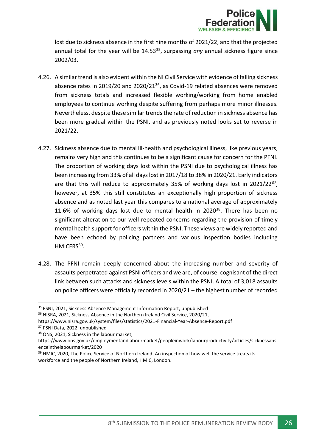

lost due to sickness absence in the first nine months of 2021/22, and that the projected annual total for the year will be 14.53<sup>35</sup>, surpassing *any* annual sickness figure since 2002/03.

- 4.26. A similar trend is also evident within the NI Civil Service with evidence of falling sickness absence rates in 2019/20 and 2020/21<sup>36</sup>, as Covid-19 related absences were removed from sickness totals and increased flexible working/working from home enabled employees to continue working despite suffering from perhaps more minor illnesses. Nevertheless, despite these similar trends the rate of reduction in sickness absence has been more gradual within the PSNI, and as previously noted looks set to reverse in 2021/22.
- 4.27. Sickness absence due to mental ill-health and psychological illness, like previous years, remains very high and this continues to be a significant cause for concern for the PFNI. The proportion of working days lost within the PSNI due to psychological illness has been increasing from 33% of all days lost in 2017/18 to 38% in 2020/21. Early indicators are that this will reduce to approximately 35% of working days lost in 2021/22<sup>37</sup>, however, at 35% this still constitutes an exceptionally high proportion of sickness absence and as noted last year this compares to a national average of approximately 11.6% of working days lost due to mental health in  $2020^{38}$ . There has been no significant alteration to our well-repeated concerns regarding the provision of timely mental health support for officers within the PSNI. These views are widely reported and have been echoed by policing partners and various inspection bodies including HMICFRS<sup>39</sup>.
- 4.28. The PFNI remain deeply concerned about the increasing number and severity of assaults perpetrated against PSNI officers and we are, of course, cognisant of the direct link between such attacks and sickness levels within the PSNI. A total of 3,018 assaults on police officers were officially recorded in 2020/21 – the highest number of recorded

<sup>37</sup> PSNI Data, 2022, unpublished

<sup>&</sup>lt;sup>35</sup> PSNI, 2021, Sickness Absence Management Information Report, unpublished

<sup>&</sup>lt;sup>36</sup> NISRA, 2021, Sickness Absence in the Northern Ireland Civil Service, 2020/21,

https://www.nisra.gov.uk/system/files/statistics/2021-Financial-Year-Absence-Report.pdf

<sup>38</sup> ONS, 2021, Sickness in the labour market,

https://www.ons.gov.uk/employmentandlabourmarket/peopleinwork/labourproductivity/articles/sicknessabs enceinthelabourmarket/2020

<sup>&</sup>lt;sup>39</sup> HMIC, 2020, The Police Service of Northern Ireland, An inspection of how well the service treats its workforce and the people of Northern Ireland, HMIC, London.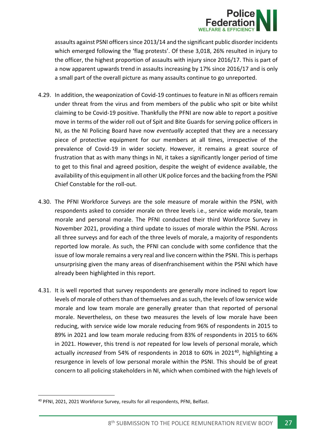

assaults against PSNI officers since 2013/14 and the significant public disorder incidents which emerged following the 'flag protests'. Of these 3,018, 26% resulted in injury to the officer, the highest proportion of assaults with injury since 2016/17. This is part of a now apparent upwards trend in assaults increasing by 17% since 2016/17 and is only a small part of the overall picture as many assaults continue to go unreported.

- 4.29. In addition, the weaponization of Covid-19 continues to feature in NI as officers remain under threat from the virus and from members of the public who spit or bite whilst claiming to be Covid-19 positive. Thankfully the PFNI are now able to report a positive move in terms of the wider roll out of Spit and Bite Guards for serving police officers in NI, as the NI Policing Board have now *eventually* accepted that they are a necessary piece of protective equipment for our members at all times, irrespective of the prevalence of Covid-19 in wider society. However, it remains a great source of frustration that as with many things in NI, it takes a significantly longer period of time to get to this final and agreed position, despite the weight of evidence available, the availability of this equipment in all other UK police forces and the backing from the PSNI Chief Constable for the roll-out.
- 4.30. The PFNI Workforce Surveys are the sole measure of morale within the PSNI, with respondents asked to consider morale on three levels i.e., service wide morale, team morale and personal morale. The PFNI conducted their third Workforce Survey in November 2021, providing a third update to issues of morale within the PSNI. Across all three surveys and for each of the three levels of morale, a majority of respondents reported low morale. As such, the PFNI can conclude with some confidence that the issue of low morale remains a very real and live concern within the PSNI. This is perhaps unsurprising given the many areas of disenfranchisement within the PSNI which have already been highlighted in this report.
- 4.31. It is well reported that survey respondents are generally more inclined to report low levels of morale of others than of themselves and as such, the levels of low service wide morale and low team morale are generally greater than that reported of personal morale. Nevertheless, on these two measures the levels of low morale have been reducing, with service wide low morale reducing from 96% of respondents in 2015 to 89% in 2021 and low team morale reducing from 83% of respondents in 2015 to 66% in 2021. However, this trend is *not* repeated for low levels of personal morale, which actually *increased* from 54% of respondents in 2018 to 60% in 2021<sup>40</sup>, highlighting a resurgence in levels of low personal morale within the PSNI. This should be of great concern to all policing stakeholders in NI, which when combined with the high levels of

<sup>40</sup> PFNI, 2021, 2021 Workforce Survey, results for all respondents, PFNI, Belfast.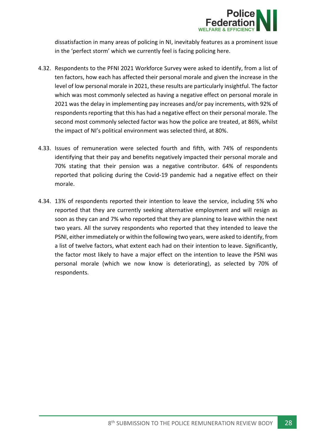

dissatisfaction in many areas of policing in NI, inevitably features as a prominent issue in the 'perfect storm' which we currently feel is facing policing here.

- 4.32. Respondents to the PFNI 2021 Workforce Survey were asked to identify, from a list of ten factors, how each has affected their personal morale and given the increase in the level of low personal morale in 2021, these results are particularly insightful. The factor which was most commonly selected as having a negative effect on personal morale in 2021 was the delay in implementing pay increases and/or pay increments, with 92% of respondents reporting that this has had a negative effect on their personal morale. The second most commonly selected factor was how the police are treated, at 86%, whilst the impact of NI's political environment was selected third, at 80%.
- 4.33. Issues of remuneration were selected fourth and fifth, with 74% of respondents identifying that their pay and benefits negatively impacted their personal morale and 70% stating that their pension was a negative contributor. 64% of respondents reported that policing during the Covid-19 pandemic had a negative effect on their morale.
- 4.34. 13% of respondents reported their intention to leave the service, including 5% who reported that they are currently seeking alternative employment and will resign as soon as they can and 7% who reported that they are planning to leave within the next two years. All the survey respondents who reported that they intended to leave the PSNI, either immediately or within the following two years, were asked to identify, from a list of twelve factors, what extent each had on their intention to leave. Significantly, the factor most likely to have a major effect on the intention to leave the PSNI was personal morale (which we now know is deteriorating), as selected by 70% of respondents.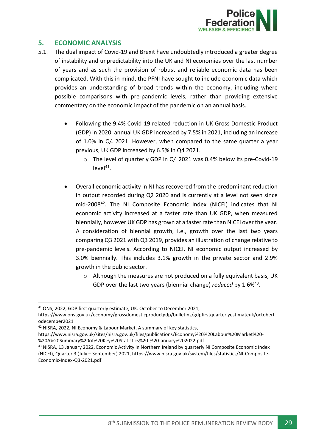

## <span id="page-29-0"></span>**5. ECONOMIC ANALYSIS**

- 5.1. The dual impact of Covid-19 and Brexit have undoubtedly introduced a greater degree of instability and unpredictability into the UK and NI economies over the last number of years and as such the provision of robust and reliable economic data has been complicated. With this in mind, the PFNI have sought to include economic data which provides an understanding of broad trends within the economy, including where possible comparisons with pre-pandemic levels, rather than providing extensive commentary on the economic impact of the pandemic on an annual basis.
	- Following the 9.4% Covid-19 related reduction in UK Gross Domestic Product (GDP) in 2020, annual UK GDP increased by 7.5% in 2021, including an increase of 1.0% in Q4 2021. However, when compared to the same quarter a year previous, UK GDP increased by 6.5% in Q4 2021.
		- o The level of quarterly GDP in Q4 2021 was 0.4% below its pre-Covid-19  $level<sup>41</sup>$ .
	- Overall economic activity in NI has recovered from the predominant reduction in output recorded during Q2 2020 and is currently at a level not seen since mid-2008<sup>42</sup> . The NI Composite Economic Index (NICEI) indicates that NI economic activity increased at a faster rate than UK GDP, when measured biennially, however UK GDP has grown at a faster rate than NICEI over the year. A consideration of biennial growth, i.e., growth over the last two years comparing Q3 2021 with Q3 2019, provides an illustration of change relative to pre-pandemic levels. According to NICEI, NI economic output increased by 3.0% biennially. This includes 3.1% growth in the private sector and 2.9% growth in the public sector.
		- $\circ$  Although the measures are not produced on a fully equivalent basis, UK GDP over the last two years (biennial change) *reduced* by 1.6%<sup>43</sup>.

<sup>41</sup> ONS, 2022, GDP first quarterly estimate, UK: October to December 2021,

https://www.ons.gov.uk/economy/grossdomesticproductgdp/bulletins/gdpfirstquarterlyestimateuk/octobert odecember2021

<sup>42</sup> NISRA, 2022, NI Economy & Labour Market, A summary of key statistics,

https://www.nisra.gov.uk/sites/nisra.gov.uk/files/publications/Economy%20%20Labour%20Market%20- %20A%20Summary%20of%20Key%20Statistics%20-%20January%202022.pdf

<sup>43</sup> NISRA, 13 January 2022, Economic Activity in Northern Ireland by quarterly NI Composite Economic Index (NICEI), Quarter 3 (July – September) 2021, https://www.nisra.gov.uk/system/files/statistics/NI-Composite-Economic-Index-Q3-2021.pdf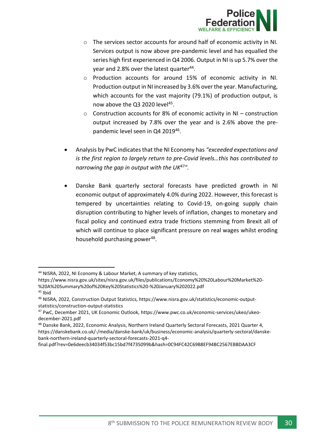

- $\circ$  The services sector accounts for around half of economic activity in NI. Services output is now above pre-pandemic level and has equalled the series high first experienced in Q4 2006. Output in NI is up 5.7% over the year and 2.8% over the latest quarter<sup>44</sup>.
- o Production accounts for around 15% of economic activity in NI. Production output in NI increased by 3.6% over the year. Manufacturing, which accounts for the vast majority (79.1%) of production output, is now above the Q3 2020 level<sup>45</sup>.
- o Construction accounts for 8% of economic activity in NI construction output increased by 7.8% over the year and is 2.6% above the prepandemic level seen in Q4 2019<sup>46</sup>.
- Analysis by PwC indicates that the NI Economy has *"exceeded expectations and is the first region to largely return to pre-Covid levels…this has contributed to narrowing the gap in output with the UK<sup>47</sup>".*
- Danske Bank quarterly sectoral forecasts have predicted growth in NI economic output of approximately 4.0% during 2022. However, this forecast is tempered by uncertainties relating to Covid-19, on-going supply chain disruption contributing to higher levels of inflation, changes to monetary and fiscal policy and continued extra trade frictions stemming from Brexit all of which will continue to place significant pressure on real wages whilst eroding household purchasing power<sup>48</sup>.

https://www.nisra.gov.uk/sites/nisra.gov.uk/files/publications/Economy%20%20Labour%20Market%20- %20A%20Summary%20of%20Key%20Statistics%20-%20January%202022.pdf <sup>45</sup> Ibid

<sup>44</sup> NISRA, 2022, NI Economy & Labour Market, A summary of key statistics,

<sup>46</sup> NISRA, 2022, Construction Output Statistics, https://www.nisra.gov.uk/statistics/economic-outputstatistics/construction-output-statistics

<sup>47</sup> PwC, December 2021, UK Economic Outlook, https://www.pwc.co.uk/economic-services/ukeo/ukeodecember-2021.pdf

<sup>48</sup> Danske Bank, 2022, Economic Analysis, Northern Ireland Quarterly Sectoral Forecasts, 2021 Quarter 4, https://danskebank.co.uk/-/media/danske-bank/uk/business/economic-analysis/quarterly-sectoral/danskebank-northern-ireland-quarterly-sectoral-forecasts-2021-q4-

final.pdf?rev=0e6deecb34034f53bc15bd7f4735099b&hash=0C94FC42C69B8EF94BC2567EBBDAA3CF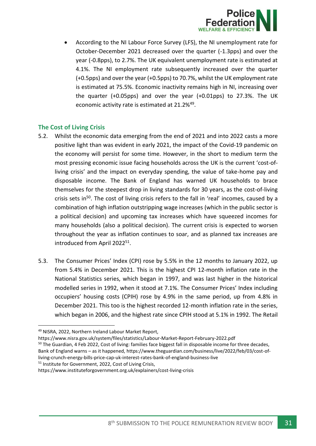

• According to the NI Labour Force Survey (LFS), the NI unemployment rate for October-December 2021 decreased over the quarter (-1.3pps) and over the year (-0.8pps), to 2.7%. The UK equivalent unemployment rate is estimated at 4.1%. The NI employment rate subsequently increased over the quarter (+0.5pps) and over the year (+0.5pps) to 70.7%, whilst the UK employment rate is estimated at 75.5%. Economic inactivity remains high in NI, increasing over the quarter (+0.05pps) and over the year (+0.01pps) to 27.3%. The UK economic activity rate is estimated at 21.2%<sup>49</sup>.

## <span id="page-31-0"></span>**The Cost of Living Crisis**

- 5.2. Whilst the economic data emerging from the end of 2021 and into 2022 casts a more positive light than was evident in early 2021, the impact of the Covid-19 pandemic on the economy will persist for some time. However, in the short to medium term the most pressing economic issue facing households across the UK is the current 'cost-ofliving crisis' and the impact on everyday spending, the value of take-home pay and disposable income. The Bank of England has warned UK households to brace themselves for the steepest drop in living standards for 30 years, as the cost-of-living crisis sets in<sup>50</sup>. The cost of living crisis refers to the fall in 'real' incomes, caused by a combination of high inflation outstripping wage increases (which in the public sector is a political decision) and upcoming tax increases which have squeezed incomes for many households (also a political decision). The current crisis is expected to worsen throughout the year as inflation continues to soar, and as planned tax increases are introduced from April 2022<sup>51</sup> .
- 5.3. The Consumer Prices' Index (CPI) rose by 5.5% in the 12 months to January 2022, up from 5.4% in December 2021. This is the highest CPI 12-month inflation rate in the National Statistics series, which began in 1997, and was last higher in the historical modelled series in 1992, when it stood at 7.1%. The Consumer Prices' Index including occupiers' housing costs (CPIH) rose by 4.9% in the same period, up from 4.8% in December 2021. This too is the highest recorded 12-month inflation rate in the series, which began in 2006, and the highest rate since CPIH stood at 5.1% in 1992. The Retail

living-crunch-energy-bills-price-cap-uk-interest-rates-bank-of-england-business-live

<sup>51</sup> Institute for Government, 2022, Cost of Living Crisis,

<sup>49</sup> NISRA, 2022, Northern Ireland Labour Market Report,

https://www.nisra.gov.uk/system/files/statistics/Labour-Market-Report-February-2022.pdf

<sup>&</sup>lt;sup>50</sup> The Guardian, 4 Feb 2022, Cost of living: families face biggest fall in disposable income for three decades, Bank of England warns – as it happened, https://www.theguardian.com/business/live/2022/feb/03/cost-of-

https://www.instituteforgovernment.org.uk/explainers/cost-living-crisis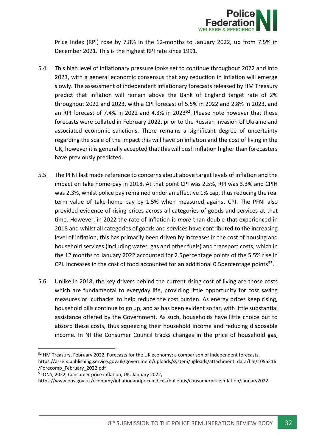

Price Index (RPI) rose by 7.8% in the 12-months to January 2022, up from 7.5% in December 2021. This is the highest RPI rate since 1991.

- 5.4. This high level of inflationary pressure looks set to continue throughout 2022 and into 2023, with a general economic consensus that any reduction in inflation will emerge slowly. The assessment of independent inflationary forecasts released by HM Treasury predict that inflation will remain above the Bank of England target rate of 2% throughout 2022 and 2023, with a CPI forecast of 5.5% in 2022 and 2.8% in 2023, and an RPI forecast of 7.4% in 2022 and 4.3% in 2023<sup>52</sup>. Please note however that these forecasts were collated in February 2022, prior to the Russian invasion of Ukraine and associated economic sanctions. There remains a significant degree of uncertainty regarding the scale of the impact this will have on inflation and the cost of living in the UK, however it is generally accepted that this will push inflation higher than forecasters have previously predicted.
- 5.5. The PFNI last made reference to concerns about above target levels of inflation and the impact on take home-pay in 2018. At that point CPI was 2.5%, RPI was 3.3% and CPIH was 2.3%, whilst police pay remained under an effective 1% cap, thus reducing the real term value of take-home pay by 1.5% when measured against CPI. The PFNI also provided evidence of rising prices across all categories of goods and services at that time. However, in 2022 the rate of inflation is *more* than double that experienced in 2018 and whilst all categories of goods and services have contributed to the increasing level of inflation, this has primarily been driven by increases in the cost of housing and household services (including water, gas and other fuels) and transport costs, which in the 12 months to January 2022 accounted for 2.5percentage points of the 5.5% rise in CPI. Increases in the cost of food accounted for an additional 0.5 percentage points $53$ .
- 5.6. Unlike in 2018, the key drivers behind the current rising cost of living are those costs which are fundamental to everyday life, providing little opportunity for cost saving measures or 'cutbacks' to help reduce the cost burden. As energy prices keep rising, household bills continue to go up, and as has been evident so far, with little substantial assistance offered by the Government. As such, households have little choice but to absorb these costs, thus squeezing their household income and reducing disposable income. In NI the Consumer Council tracks changes in the price of household gas,

<sup>&</sup>lt;sup>52</sup> HM Treasury, February 2022, Forecasts for the UK economy: a comparison of independent forecasts, https://assets.publishing.service.gov.uk/government/uploads/system/uploads/attachment\_data/file/1055216 /Forecomp\_February\_2022.pdf

<sup>53</sup> ONS, 2022, Consumer price inflation, UK: January 2022,

https://www.ons.gov.uk/economy/inflationandpriceindices/bulletins/consumerpriceinflation/january2022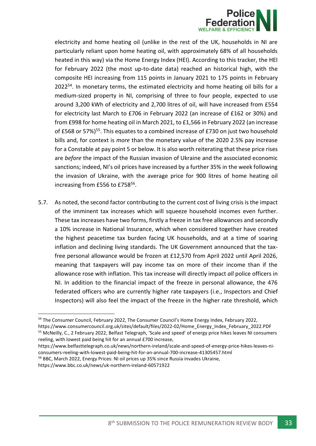

electricity and home heating oil (unlike in the rest of the UK, households in NI are particularly reliant upon home heating oil, with approximately 68% of all households heated in this way) via the Home Energy Index (HEI). According to this tracker, the HEI for February 2022 (the most up-to-date data) reached an historical high, with the composite HEI increasing from 115 points in January 2021 to 175 points in February 2022<sup>54</sup>. In monetary terms, the estimated electricity and home heating oil bills for a medium-sized property in NI, comprising of three to four people, expected to use around 3,200 kWh of electricity and 2,700 litres of oil, will have increased from £554 for electricity last March to £706 in February 2022 (an increase of £162 or 30%) and from £998 for home heating oil in March 2021, to £1,566 in February 2022 (an increase of £568 or 57%)<sup>55</sup>. This equates to a combined increase of £730 on just two household bills and, for context is *more* than the monetary value of the 2020 2.5% pay increase for a Constable at pay point 5 or below. It is also worth reiterating that these price rises are *before* the impact of the Russian invasion of Ukraine and the associated economic sanctions; indeed, NI's oil prices have increased by a further 35% in the week following the invasion of Ukraine, with the average price for 900 litres of home heating oil increasing from £556 to £758<sup>56</sup>.

5.7. As noted, the second factor contributing to the current cost of living crisis is the impact of the imminent tax increases which will squeeze household incomes even further. These tax increases have two forms, firstly a freeze in tax free allowances and secondly a 10% increase in National Insurance, which when considered together have created the highest peacetime tax burden facing UK households, and at a time of soaring inflation and declining living standards. The UK Government announced that the taxfree personal allowance would be frozen at £12,570 from April 2022 until April 2026, meaning that taxpayers will pay income tax on more of their income than if the allowance rose with inflation. This tax increase will directly impact *all* police officers in NI. In addition to the financial impact of the freeze in personal allowance, the 476 federated officers who are currently higher rate taxpayers (i.e., Inspectors and Chief Inspectors) will also feel the impact of the freeze in the higher rate threshold, which

<sup>56</sup> BBC, March 2022, Energy Prices: NI oil prices up 35% since Russia invades Ukraine,

<sup>&</sup>lt;sup>54</sup> The Consumer Council, February 2022, The Consumer Council's Home Energy Index, February 2022, https://www.consumercouncil.org.uk/sites/default/files/2022-02/Home\_Energy\_Index\_February\_2022.PDF

<sup>&</sup>lt;sup>55</sup> McNeilly, C., 2 February 2022, Belfast Telegraph, 'Scale and speed' of energy price hikes leaves NI consumers reeling, with lowest paid being hit for an annual £700 increase,

https://www.belfasttelegraph.co.uk/news/northern-ireland/scale-and-speed-of-energy-price-hikes-leaves-niconsumers-reeling-with-lowest-paid-being-hit-for-an-annual-700-increase-41305457.html

https://www.bbc.co.uk/news/uk-northern-ireland-60571922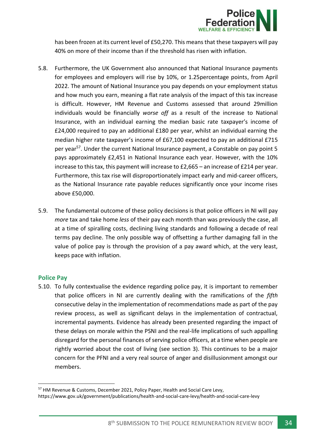

has been frozen at its current level of £50,270. This means that these taxpayers will pay 40% on more of their income than if the threshold has risen with inflation.

- 5.8. Furthermore, the UK Government also announced that National Insurance payments for employees and employers will rise by 10%, or 1.25percentage points, from April 2022. The amount of National Insurance you pay depends on your employment status and how much you earn, meaning a flat rate analysis of the impact of this tax increase is difficult. However, HM Revenue and Customs assessed that around 29million individuals would be financially *worse off* as a result of the increase to National Insurance, with an individual earning the median basic rate taxpayer's income of £24,000 required to pay an additional £180 per year, whilst an individual earning the median higher rate taxpayer's income of £67,100 expected to pay an additional £715 per year<sup>57</sup>. Under the current National Insurance payment, a Constable on pay point 5 pays approximately £2,451 in National Insurance each year. However, with the 10% increase to this tax, this payment will increase to £2,665 – an increase of £214 per year. Furthermore, this tax rise will disproportionately impact early and mid-career officers, as the National Insurance rate payable reduces significantly once your income rises above £50,000.
- 5.9. The fundamental outcome of these policy decisions is that police officers in NI will pay *more* tax and take home *less* of their pay each month than was previously the case, all at a time of spiralling costs, declining living standards and following a decade of real terms pay decline. The only possible way of offsetting a further damaging fall in the value of police pay is through the provision of a pay award which, at the very least, keeps pace with inflation.

## <span id="page-34-0"></span>**Police Pay**

5.10. To fully contextualise the evidence regarding police pay, it is important to remember that police officers in NI are currently dealing with the ramifications of the *fifth* consecutive delay in the implementation of recommendations made as part of the pay review process, as well as significant delays in the implementation of contractual, incremental payments. Evidence has already been presented regarding the impact of these delays on morale within the PSNI and the real-life implications of such appalling disregard for the personal finances of serving police officers, at a time when people are rightly worried about the cost of living (see section 3). This continues to be a major concern for the PFNI and a very real source of anger and disillusionment amongst our members.

<sup>57</sup> HM Revenue & Customs, December 2021, Policy Paper, Health and Social Care Levy, https://www.gov.uk/government/publications/health-and-social-care-levy/health-and-social-care-levy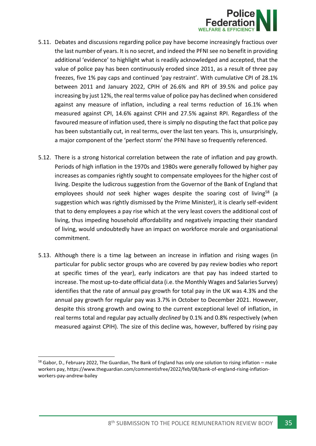

- 5.11. Debates and discussions regarding police pay have become increasingly fractious over the last number of years. It is no secret, and indeed the PFNI see no benefit in providing additional 'evidence' to highlight what is readily acknowledged and accepted, that the value of police pay has been continuously eroded since 2011, as a result of three pay freezes, five 1% pay caps and continued 'pay restraint'. With cumulative CPI of 28.1% between 2011 and January 2022, CPIH of 26.6% and RPI of 39.5% and police pay increasing by just 12%, the real terms value of police pay has declined when considered against any measure of inflation, including a real terms reduction of 16.1% when measured against CPI, 14.6% against CPIH and 27.5% against RPI. Regardless of the favoured measure of inflation used, there is simply no disputing the fact that police pay has been substantially cut, in real terms, over the last ten years. This is, unsurprisingly, a major component of the 'perfect storm' the PFNI have so frequently referenced.
- 5.12. There is a strong historical correlation between the rate of inflation and pay growth. Periods of high inflation in the 1970s and 1980s were generally followed by higher pay increases as companies rightly sought to compensate employees for the higher cost of living. Despite the ludicrous suggestion from the Governor of the Bank of England that employees should *not* seek higher wages despite the soaring cost of living<sup>58</sup> (a suggestion which was rightly dismissed by the Prime Minister), it is clearly self-evident that to deny employees a pay rise which at the very least covers the additional cost of living, thus impeding household affordability and negatively impacting their standard of living, would undoubtedly have an impact on workforce morale and organisational commitment.
- 5.13. Although there is a time lag between an increase in inflation and rising wages (in particular for public sector groups who are covered by pay review bodies who report at specific times of the year), early indicators are that pay has indeed started to increase. The most up-to-date official data (i.e. the Monthly Wages and Salaries Survey) identifies that the rate of annual pay growth for total pay in the UK was 4.3% and the annual pay growth for regular pay was 3.7% in October to December 2021. However, despite this strong growth and owing to the current exceptional level of inflation, in real terms total and regular pay actually *declined* by 0.1% and 0.8% respectively (when measured against CPIH). The size of this decline was, however, buffered by rising pay

 $58$  Gabor, D., February 2022, The Guardian, The Bank of England has only one solution to rising inflation – make workers pay, https://www.theguardian.com/commentisfree/2022/feb/08/bank-of-england-rising-inflationworkers-pay-andrew-bailey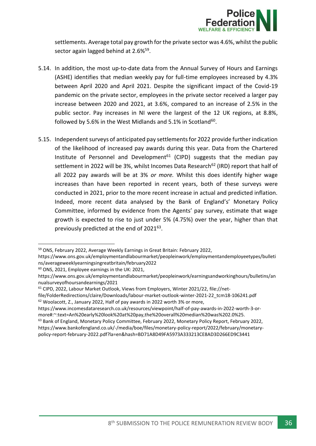

settlements. Average total pay growth for the private sector was 4.6%, whilst the public sector again lagged behind at 2.6%<sup>59</sup>.

- 5.14. In addition, the most up-to-date data from the Annual Survey of Hours and Earnings (ASHE) identifies that median weekly pay for full-time employees increased by 4.3% between April 2020 and April 2021. Despite the significant impact of the Covid-19 pandemic on the private sector, employees in the private sector received a larger pay increase between 2020 and 2021, at 3.6%, compared to an increase of 2.5% in the public sector. Pay increases in NI were the largest of the 12 UK regions, at 8.8%, followed by 5.6% in the West Midlands and 5.1% in Scotland<sup>60</sup>.
- 5.15. Independent surveys of anticipated pay settlements for 2022 provide further indication of the likelihood of increased pay awards during this year. Data from the Chartered Institute of Personnel and Development<sup>61</sup> (CIPD) suggests that the median pay settlement in 2022 will be 3%, whilst Incomes Data Research<sup>62</sup> (IRD) report that half of all 2022 pay awards will be at 3% *or more.* Whilst this does identify higher wage increases than have been reported in recent years, both of these surveys were conducted in 2021, prior to the more recent increase in actual and predicted inflation. Indeed, more recent data analysed by the Bank of England's' Monetary Policy Committee, informed by evidence from the Agents' pay survey, estimate that wage growth is expected to rise to just under 5% (4.75%) over the year, higher than that previously predicted at the end of  $2021^{63}$ .

<sup>60</sup> ONS, 2021, Employee earnings in the UK: 2021,

<sup>59</sup> ONS, February 2022, Average Weekly Earnings in Great Britain: February 2022,

https://www.ons.gov.uk/employmentandlabourmarket/peopleinwork/employmentandemployeetypes/bulleti ns/averageweeklyearningsingreatbritain/february2022

https://www.ons.gov.uk/employmentandlabourmarket/peopleinwork/earningsandworkinghours/bulletins/an nualsurveyofhoursandearnings/2021

<sup>&</sup>lt;sup>61</sup> CIPD, 2022, Labour Market Outlook, Views from Employers, Winter 2021/22, file://net-

file/FolderRedirections/claire/Downloads/labour-market-outlook-winter-2021-22\_tcm18-106241.pdf <sup>62</sup> Woolacott, Z., January 2022, Half of pay awards in 2022 worth 3% or more,

https://www.incomesdataresearch.co.uk/resources/viewpoint/half-of-pay-awards-in-2022-worth-3-ormore#:~:text=An%20early%20look%20at%20pay,the%20overall%20median%20was%202.0%25.

<sup>&</sup>lt;sup>63</sup> Bank of England, Monetary Policy Committee, February 2022, Monetary Policy Report, February 2022, https://www.bankofengland.co.uk/-/media/boe/files/monetary-policy-report/2022/february/monetarypolicy-report-february-2022.pdf?la=en&hash=BD71A8D49FA5973A333213CE8AD3D266ED9C3441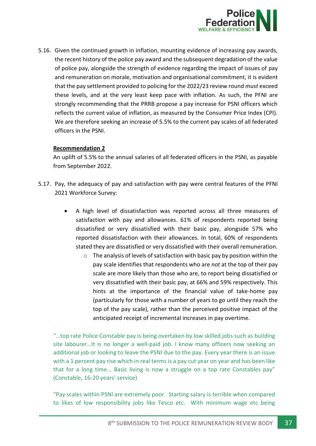

5.16. Given the continued growth in inflation, mounting evidence of increasing pay awards, the recent history of the police pay award and the subsequent degradation of the value of police pay, alongside the strength of evidence regarding the impact of issues of pay and remuneration on morale, motivation and organisational commitment, it is evident that the pay settlement provided to policing for the 2022/23 review round *must* exceed these levels, and at the very least keep pace with inflation. As such, the PFNI are strongly recommending that the PRRB propose a pay increase for PSNI officers which reflects the current value of inflation, as measured by the Consumer Price Index (CPI). We are therefore seeking an increase of 5.5% to the current pay scales of all federated officers in the PSNI.

## **Recommendation 2**

An uplift of 5.5% to the annual salaries of all federated officers in the PSNI, as payable from September 2022.

- 5.17. Pay, the adequacy of pay and satisfaction with pay were central features of the PFNI 2021 Workforce Survey:
	- A high level of dissatisfaction was reported across all three measures of satisfaction with pay and allowances. 61% of respondents reported being dissatisfied or very dissatisfied with their basic pay, alongside 57% who reported dissatisfaction with their allowances. In total, 60% of respondents stated they are dissatisfied or very dissatisfied with their overall remuneration.
		- $\circ$  The analysis of levels of satisfaction with basic pay by position within the pay scale identifies that respondents who are *not* at the top of their pay scale are more likely than those who are, to report being dissatisfied or very dissatisfied with their basic pay, at 66% and 59% respectively. This hints at the importance of the financial value of take-home pay (particularly for those with a number of years to go until they reach the top of the pay scale), rather than the perceived positive impact of the anticipated receipt of incremental increases in pay overtime.

"…top rate Police Constable pay is being overtaken by low skilled jobs such as building site labourer…It is no longer a well-paid job. I know many officers now seeking an additional job or looking to leave the PSNI due to the pay. Every year there is an issue with a 1 percent pay rise which in real terms is a pay cut year on year and has been like that for a long time... Basic living is now a struggle on a top rate Constables pay" (Constable, 16-20 years' service)

"Pay scales within PSNI are extremely poor. Starting salary is terrible when compared to likes of low responsibility jobs like Tesco etc. With minimum wage etc being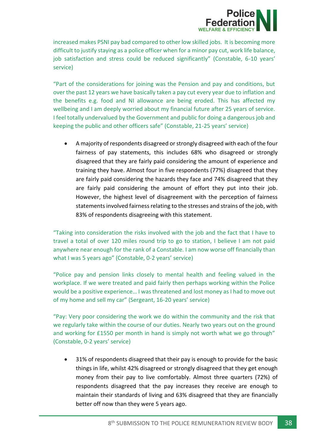

increased makes PSNI pay bad compared to other low skilled jobs. It is becoming more difficult to justify staying as a police officer when for a minor pay cut, work life balance, job satisfaction and stress could be reduced significantly" (Constable, 6-10 years' service)

"Part of the considerations for joining was the Pension and pay and conditions, but over the past 12 years we have basically taken a pay cut every year due to inflation and the benefits e.g. food and NI allowance are being eroded. This has affected my wellbeing and I am deeply worried about my financial future after 25 years of service. I feel totally undervalued by the Government and public for doing a dangerous job and keeping the public and other officers safe" (Constable, 21-25 years' service)

• A majority of respondents disagreed or strongly disagreed with each of the four fairness of pay statements, this includes 68% who disagreed or strongly disagreed that they are fairly paid considering the amount of experience and training they have. Almost four in five respondents (77%) disagreed that they are fairly paid considering the hazards they face and 74% disagreed that they are fairly paid considering the amount of effort they put into their job. However, the highest level of disagreement with the perception of fairness statements involved fairness relating to the stresses and strains of the job, with 83% of respondents disagreeing with this statement.

"Taking into consideration the risks involved with the job and the fact that I have to travel a total of over 120 miles round trip to go to station, I believe I am not paid anywhere near enough for the rank of a Constable. I am now worse off financially than what I was 5 years ago" (Constable, 0-2 years' service)

"Police pay and pension links closely to mental health and feeling valued in the workplace. If we were treated and paid fairly then perhaps working within the Police would be a positive experience… I was threatened and lost money as I had to move out of my home and sell my car" (Sergeant, 16-20 years' service)

"Pay: Very poor considering the work we do within the community and the risk that we regularly take within the course of our duties. Nearly two years out on the ground and working for £1550 per month in hand is simply not worth what we go through" (Constable, 0-2 years' service)

• 31% of respondents disagreed that their pay is enough to provide for the basic things in life, whilst 42% disagreed or strongly disagreed that they get enough money from their pay to live comfortably. Almost three quarters (72%) of respondents disagreed that the pay increases they receive are enough to maintain their standards of living and 63% disagreed that they are financially better off now than they were 5 years ago.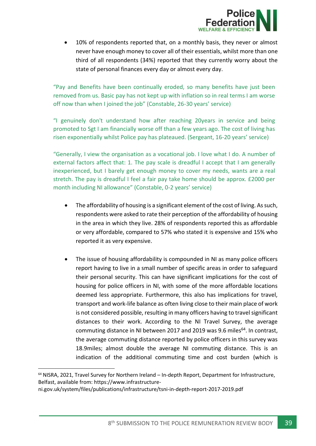

10% of respondents reported that, on a monthly basis, they never or almost never have enough money to cover all of their essentials, whilst more than one third of all respondents (34%) reported that they currently worry about the state of personal finances every day or almost every day.

"Pay and Benefits have been continually eroded, so many benefits have just been removed from us. Basic pay has not kept up with inflation so in real terms I am worse off now than when I joined the job" (Constable, 26-30 years' service)

"I genuinely don't understand how after reaching 20years in service and being promoted to Sgt I am financially worse off than a few years ago. The cost of living has risen exponentially whilst Police pay has plateaued. (Sergeant, 16-20 years' service)

"Generally, I view the organisation as a vocational job. I love what I do. A number of external factors affect that: 1. The pay scale is dreadful I accept that I am generally inexperienced, but I barely get enough money to cover my needs, wants are a real stretch. The pay is dreadful I feel a fair pay take home should be approx. £2000 per month including NI allowance" (Constable, 0-2 years' service)

- The affordability of housing is a significant element of the cost of living. As such, respondents were asked to rate their perception of the affordability of housing in the area in which they live. 28% of respondents reported this as affordable or very affordable, compared to 57% who stated it is expensive and 15% who reported it as very expensive.
- The issue of housing affordability is compounded in NI as many police officers report having to live in a small number of specific areas in order to safeguard their personal security. This can have significant implications for the cost of housing for police officers in NI, with some of the more affordable locations deemed less appropriate. Furthermore, this also has implications for travel, transport and work-life balance as often living close to their main place of work is not considered possible, resulting in many officers having to travel significant distances to their work. According to the NI Travel Survey, the average commuting distance in NI between 2017 and 2019 was 9.6 miles<sup>64</sup>. In contrast, the average commuting distance reported by police officers in this survey was 18.9miles; almost double the average NI commuting distance. This is an indication of the additional commuting time and cost burden (which is

<sup>64</sup> NISRA, 2021, Travel Survey for Northern Ireland – In-depth Report, Department for Infrastructure, Belfast, available from: https://www.infrastructure-

ni.gov.uk/system/files/publications/infrastructure/tsni-in-depth-report-2017-2019.pdf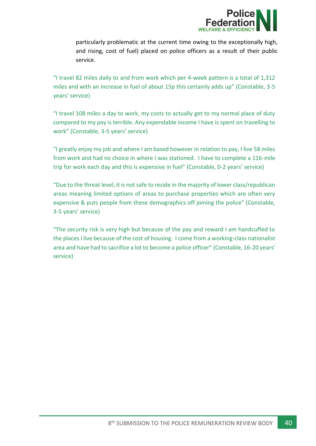

particularly problematic at the current time owing to the exceptionally high, and rising, cost of fuel) placed on police officers as a result of their public service.

"I travel 82 miles daily to and from work which per 4-week pattern is a total of 1,312 miles and with an increase in fuel of about 15p this certainly adds up" (Constable, 3-5 years' service)

"I travel 108 miles a day to work, my costs to actually get to my normal place of duty compared to my pay is terrible. Any expendable income I have is spent on travelling to work" (Constable, 3-5 years' service)

"I greatly enjoy my job and where I am based however in relation to pay, I live 58 miles from work and had no choice in where I was stationed. I have to complete a 116-mile trip for work each day and this is expensive in fuel" (Constable, 0-2 years' service)

"Due to the threat level, it is not safe to reside in the majority of lower class/republican areas meaning limited options of areas to purchase properties which are often very expensive & puts people from these demographics off joining the police" (Constable, 3-5 years' service)

"The security risk is very high but because of the pay and reward I am handcuffed to the places I live because of the cost of housing. I come from a working-class nationalist area and have had to sacrifice a lot to become a police officer" (Constable, 16-20 years' service)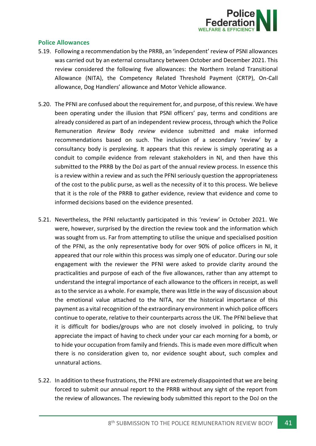

## <span id="page-41-0"></span>**Police Allowances**

- 5.19. Following a recommendation by the PRRB, an 'independent' review of PSNI allowances was carried out by an external consultancy between October and December 2021. This review considered the following five allowances: the Northern Ireland Transitional Allowance (NITA), the Competency Related Threshold Payment (CRTP), On-Call allowance, Dog Handlers' allowance and Motor Vehicle allowance.
- 5.20. The PFNI are confused about the requirement for, and purpose, of this review. We have been operating under the illusion that PSNI officers' pay, terms and conditions are already considered as part of an independent review process, through which the Police Remuneration *Review* Body *review* evidence submitted and make informed recommendations based on such. The inclusion of a secondary 'review' by a consultancy body is perplexing. It appears that this review is simply operating as a conduit to compile evidence from relevant stakeholders in NI, and then have this submitted to the PRRB by the DoJ as part of the annual review process. In essence this is a review within a review and as such the PFNI seriously question the appropriateness of the cost to the public purse, as well as the necessity of it to this process. We believe that it is the role of the PRRB to gather evidence, review that evidence and come to informed decisions based on the evidence presented.
- 5.21. Nevertheless, the PFNI reluctantly participated in this 'review' in October 2021. We were, however, surprised by the direction the review took and the information which was sought from us. Far from attempting to utilise the unique and specialised position of the PFNI, as the only representative body for over 90% of police officers in NI, it appeared that our role within this process was simply one of educator. During our sole engagement with the reviewer the PFNI were asked to provide clarity around the practicalities and purpose of each of the five allowances, rather than any attempt to understand the integral importance of each allowance to the officers in receipt, as well as to the service as a whole. For example, there was little in the way of discussion about the emotional value attached to the NITA, nor the historical importance of this payment as a vital recognition of the extraordinary environment in which police officers continue to operate, relative to their counterparts across the UK. The PFNI believe that it is difficult for bodies/groups who are not closely involved in policing, to truly appreciate the impact of having to check under your car each morning for a bomb, or to hide your occupation from family and friends. This is made even more difficult when there is no consideration given to, nor evidence sought about, such complex and unnatural actions.
- 5.22. In addition to these frustrations, the PFNI are extremely disappointed that we are being forced to submit our annual report to the PRRB without any sight of the report from the review of allowances. The reviewing body submitted this report to the DoJ on the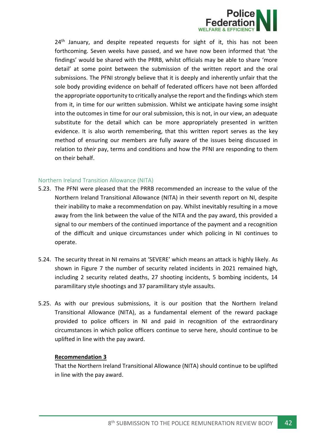

24<sup>th</sup> January, and despite repeated requests for sight of it, this has not been forthcoming. Seven weeks have passed, and we have now been informed that 'the findings' would be shared with the PRRB, whilst officials may be able to share 'more detail' at some point between the submission of the written report and the oral submissions. The PFNI strongly believe that it is deeply and inherently unfair that the sole body providing evidence on behalf of federated officers have not been afforded the appropriate opportunity to critically analyse the report and the findings which stem from it, in time for our written submission. Whilst we anticipate having some insight into the outcomes in time for our oral submission, this is not, in our view, an adequate substitute for the detail which can be more appropriately presented in written evidence. It is also worth remembering, that this written report serves as the key method of ensuring our members are fully aware of the issues being discussed in relation to *their* pay, terms and conditions and how the PFNI are responding to them on their behalf.

#### <span id="page-42-0"></span>Northern Ireland Transition Allowance (NITA)

- 5.23. The PFNI were pleased that the PRRB recommended an increase to the value of the Northern Ireland Transitional Allowance (NITA) in their seventh report on NI, despite their inability to make a recommendation on pay. Whilst inevitably resulting in a move away from the link between the value of the NITA and the pay award, this provided a signal to our members of the continued importance of the payment and a recognition of the difficult and unique circumstances under which policing in NI continues to operate.
- 5.24. The security threat in NI remains at 'SEVERE' which means an attack is highly likely. As shown in Figure 7 the number of security related incidents in 2021 remained high, including 2 security related deaths, 27 shooting incidents, 5 bombing incidents, 14 paramilitary style shootings and 37 paramilitary style assaults.
- 5.25. As with our previous submissions, it is our position that the Northern Ireland Transitional Allowance (NITA), as a fundamental element of the reward package provided to police officers in NI and paid in recognition of the extraordinary circumstances in which police officers continue to serve here, should continue to be uplifted in line with the pay award.

#### **Recommendation 3**

That the Northern Ireland Transitional Allowance (NITA) should continue to be uplifted in line with the pay award.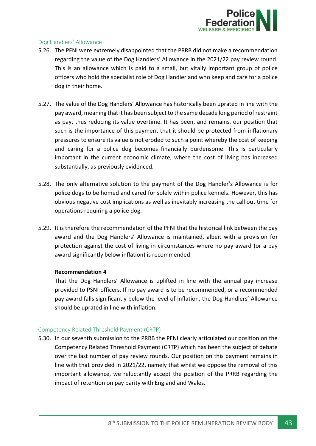

## <span id="page-43-0"></span>Dog Handlers' Allowance

- 5.26. The PFNI were extremely disappointed that the PRRB did not make a recommendation regarding the value of the Dog Handlers' Allowance in the 2021/22 pay review round. This is an allowance which is paid to a small, but vitally important group of police officers who hold the specialist role of Dog Handler and who keep and care for a police dog in their home.
- 5.27. The value of the Dog Handlers' Allowance has historically been uprated in line with the pay award, meaning that it has been subject to the same decade long period of restraint as pay, thus reducing its value overtime. It has been, and remains, our position that such is the importance of this payment that it should be protected from inflationary pressures to ensure its value is not eroded to such a point whereby the cost of keeping and caring for a police dog becomes financially burdensome. This is particularly important in the current economic climate, where the cost of living has increased substantially, as previously evidenced.
- 5.28. The only alternative solution to the payment of the Dog Handler's Allowance is for police dogs to be homed and cared for solely within police kennels. However, this has obvious negative cost implications as well as inevitably increasing the call out time for operations requiring a police dog.
- 5.29. It is therefore the recommendation of the PFNI that the historical link between the pay award and the Dog Handlers' Allowance is maintained, albeit with a provision for protection against the cost of living in circumstances where no pay award (or a pay award significantly below inflation) is recommended.

## **Recommendation 4**

That the Dog Handlers' Allowance is uplifted in line with the annual pay increase provided to PSNI officers. If no pay award is to be recommended, or a recommended pay award falls significantly below the level of inflation, the Dog Handlers' Allowance should be uprated in line with inflation.

## <span id="page-43-1"></span>Competency Related Threshold Payment (CRTP)

5.30. In our seventh submission to the PRRB the PFNI clearly articulated our position on the Competency Related Threshold Payment (CRTP) which has been the subject of debate over the last number of pay review rounds. Our position on this payment remains in line with that provided in 2021/22, namely that whilst we oppose the removal of this important allowance, we reluctantly accept the position of the PRRB regarding the impact of retention on pay parity with England and Wales.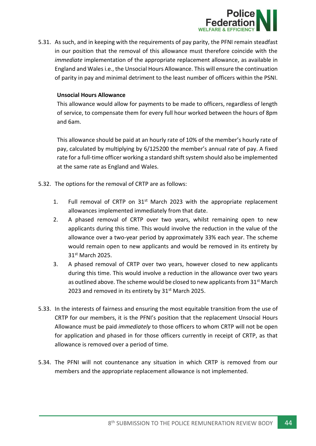

5.31. As such, and in keeping with the requirements of pay parity, the PFNI remain steadfast in our position that the removal of this allowance must therefore coincide with the *immediate* implementation of the appropriate replacement allowance, as available in England and Wales i.e., the Unsocial Hours Allowance. This will ensure the continuation of parity in pay and minimal detriment to the least number of officers within the PSNI.

#### **Unsocial Hours Allowance**

This allowance would allow for payments to be made to officers, regardless of length of service, to compensate them for every full hour worked between the hours of 8pm and 6am.

This allowance should be paid at an hourly rate of 10% of the member's hourly rate of pay, calculated by multiplying by 6/125200 the member's annual rate of pay. A fixed rate for a full-time officer working a standard shift system should also be implemented at the same rate as England and Wales.

- 5.32. The options for the removal of CRTP are as follows:
	- 1. Full removal of CRTP on  $31^{st}$  March 2023 with the appropriate replacement allowances implemented immediately from that date.
	- 2. A phased removal of CRTP over two years, whilst remaining open to new applicants during this time. This would involve the reduction in the value of the allowance over a two-year period by approximately 33% each year. The scheme would remain open to new applicants and would be removed in its entirety by 31st March 2025.
	- 3. A phased removal of CRTP over two years, however closed to new applicants during this time. This would involve a reduction in the allowance over two years as outlined above. The scheme would be closed to new applicants from  $31^{st}$  March 2023 and removed in its entirety by 31<sup>st</sup> March 2025.
- 5.33. In the interests of fairness and ensuring the most equitable transition from the use of CRTP for our members, it is the PFNI's position that the replacement Unsocial Hours Allowance must be paid *immediately* to those officers to whom CRTP will not be open for application and phased in for those officers currently in receipt of CRTP, as that allowance is removed over a period of time.
- 5.34. The PFNI will not countenance any situation in which CRTP is removed from our members and the appropriate replacement allowance is not implemented.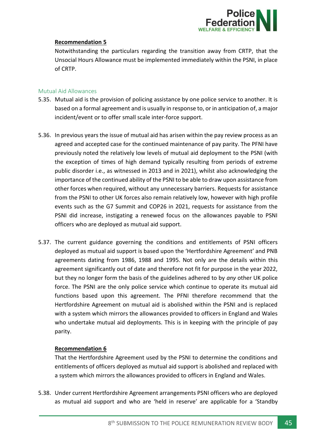

## **Recommendation 5**

Notwithstanding the particulars regarding the transition away from CRTP, that the Unsocial Hours Allowance must be implemented immediately within the PSNI, in place of CRTP.

### <span id="page-45-0"></span>Mutual Aid Allowances

- 5.35. Mutual aid is the provision of policing assistance by one police service to another. It is based on a formal agreement and is usually in response to, or in anticipation of, a major incident/event or to offer small scale inter-force support.
- 5.36. In previous years the issue of mutual aid has arisen within the pay review process as an agreed and accepted case for the continued maintenance of pay parity. The PFNI have previously noted the relatively low levels of mutual aid deployment to the PSNI (with the exception of times of high demand typically resulting from periods of extreme public disorder i.e., as witnessed in 2013 and in 2021), whilst also acknowledging the importance of the continued ability of the PSNI to be able to draw upon assistance from other forces when required, without any unnecessary barriers. Requests for assistance from the PSNI to other UK forces also remain relatively low, however with high profile events such as the G7 Summit and COP26 in 2021, requests for assistance from the PSNI did increase, instigating a renewed focus on the allowances payable to PSNI officers who are deployed as mutual aid support.
- 5.37. The current guidance governing the conditions and entitlements of PSNI officers deployed as mutual aid support is based upon the 'Hertfordshire Agreement' and PNB agreements dating from 1986, 1988 and 1995. Not only are the details within this agreement significantly out of date and therefore not fit for purpose in the year 2022, but they no longer form the basis of the guidelines adhered to by *any* other UK police force. The PSNI are the only police service which continue to operate its mutual aid functions based upon this agreement. The PFNI therefore recommend that the Hertfordshire Agreement on mutual aid is abolished within the PSNI and is replaced with a system which mirrors the allowances provided to officers in England and Wales who undertake mutual aid deployments. This is in keeping with the principle of pay parity.

## **Recommendation 6**

That the Hertfordshire Agreement used by the PSNI to determine the conditions and entitlements of officers deployed as mutual aid support is abolished and replaced with a system which mirrors the allowances provided to officers in England and Wales.

5.38. Under current Hertfordshire Agreement arrangements PSNI officers who are deployed as mutual aid support and who are 'held in reserve' are applicable for a 'Standby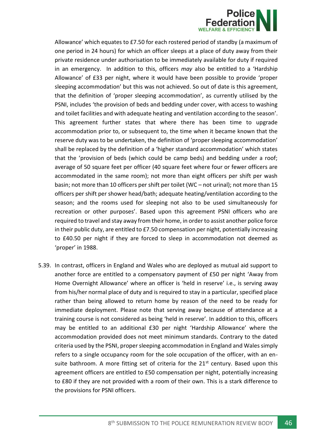

Allowance' which equates to £7.50 for each rostered period of standby (a maximum of one period in 24 hours) for which an officer sleeps at a place of duty away from their private residence under authorisation to be immediately available for duty if required in an emergency. In addition to this, officers *may* also be entitled to a 'Hardship Allowance' of £33 per night, where it would have been possible to provide 'proper sleeping accommodation' but this was not achieved. So out of date is this agreement, that the definition of 'proper sleeping accommodation', as currently utilised by the PSNI, includes 'the provision of beds and bedding under cover, with access to washing and toilet facilities and with adequate heating and ventilation according to the season'. This agreement further states that where there has been time to upgrade accommodation prior to, or subsequent to, the time when it became known that the reserve duty was to be undertaken, the definition of 'proper sleeping accommodation' shall be replaced by the definition of a 'higher standard accommodation' which states that the 'provision of beds (which could be camp beds) and bedding under a roof; average of 50 square feet per officer (40 square feet where four or fewer officers are accommodated in the same room); not more than eight officers per shift per wash basin; not more than 10 officers per shift per toilet (WC – not urinal); not more than 15 officers per shift per shower head/bath; adequate heating/ventilation according to the season; and the rooms used for sleeping not also to be used simultaneously for recreation or other purposes'. Based upon this agreement PSNI officers who are required to travel and stay away from their home, in order to assist another police force in their public duty, are entitled to £7.50 compensation per night, potentially increasing to £40.50 per night if they are forced to sleep in accommodation not deemed as 'proper' in 1988.

5.39. In contrast, officers in England and Wales who are deployed as mutual aid support to another force are entitled to a compensatory payment of £50 per night 'Away from Home Overnight Allowance' where an officer is 'held in reserve' i.e., is serving away from his/her normal place of duty and is required to stay in a particular, specified place rather than being allowed to return home by reason of the need to be ready for immediate deployment. Please note that serving away because of attendance at a training course is not considered as being 'held in reserve'. In addition to this, officers may be entitled to an additional £30 per night 'Hardship Allowance' where the accommodation provided does not meet minimum standards. Contrary to the dated criteria used by the PSNI, proper sleeping accommodation in England and Wales simply refers to a single occupancy room for the sole occupation of the officer, with an ensuite bathroom. A more fitting set of criteria for the  $21<sup>st</sup>$  century. Based upon this agreement officers are entitled to £50 compensation per night, potentially increasing to £80 if they are not provided with a room of their own. This is a stark difference to the provisions for PSNI officers.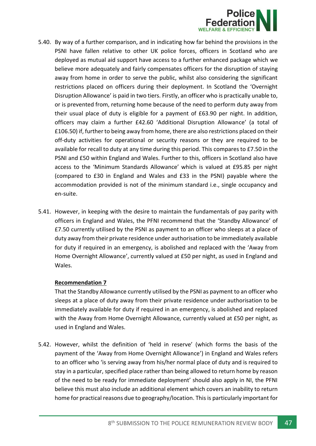

- 5.40. By way of a further comparison, and in indicating how far behind the provisions in the PSNI have fallen relative to other UK police forces, officers in Scotland who are deployed as mutual aid support have access to a further enhanced package which we believe more adequately and fairly compensates officers for the disruption of staying away from home in order to serve the public, whilst also considering the significant restrictions placed on officers during their deployment. In Scotland the 'Overnight Disruption Allowance' is paid in two tiers. Firstly, an officer who is practically unable to, or is prevented from, returning home because of the need to perform duty away from their usual place of duty is eligible for a payment of £63.90 per night. In addition, officers may claim a further £42.60 'Additional Disruption Allowance' (a total of £106.50) if, further to being away from home, there are also restrictions placed on their off-duty activities for operational or security reasons or they are required to be available for recall to duty at any time during this period. This compares to £7.50 in the PSNI and £50 within England and Wales. Further to this, officers in Scotland also have access to the 'Minimum Standards Allowance' which is valued at £95.85 per night (compared to £30 in England and Wales and £33 in the PSNI) payable where the accommodation provided is not of the minimum standard i.e., single occupancy and en-suite.
- 5.41. However, in keeping with the desire to maintain the fundamentals of pay parity with officers in England and Wales, the PFNI recommend that the 'Standby Allowance' of £7.50 currently utilised by the PSNI as payment to an officer who sleeps at a place of duty away from their private residence under authorisation to be immediately available for duty if required in an emergency, is abolished and replaced with the 'Away from Home Overnight Allowance', currently valued at £50 per night, as used in England and Wales.

## **Recommendation 7**

That the Standby Allowance currently utilised by the PSNI as payment to an officer who sleeps at a place of duty away from their private residence under authorisation to be immediately available for duty if required in an emergency, is abolished and replaced with the Away from Home Overnight Allowance, currently valued at £50 per night, as used in England and Wales.

5.42. However, whilst the definition of 'held in reserve' (which forms the basis of the payment of the 'Away from Home Overnight Allowance') in England and Wales refers to an officer who 'is serving away from his/her normal place of duty and is required to stay in a particular, specified place rather than being allowed to return home by reason of the need to be ready for immediate deployment' should also apply in NI, the PFNI believe this must also include an additional element which covers an inability to return home for practical reasons due to geography/location. This is particularly important for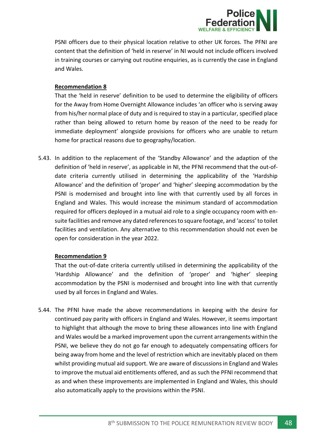

PSNI officers due to their physical location relative to other UK forces. The PFNI are content that the definition of 'held in reserve' in NI would not include officers involved in training courses or carrying out routine enquiries, as is currently the case in England and Wales.

#### **Recommendation 8**

That the 'held in reserve' definition to be used to determine the eligibility of officers for the Away from Home Overnight Allowance includes 'an officer who is serving away from his/her normal place of duty and is required to stay in a particular, specified place rather than being allowed to return home by reason of the need to be ready for immediate deployment' alongside provisions for officers who are unable to return home for practical reasons due to geography/location.

5.43. In addition to the replacement of the 'Standby Allowance' and the adaption of the definition of 'held in reserve', as applicable in NI, the PFNI recommend that the out-ofdate criteria currently utilised in determining the applicability of the 'Hardship Allowance' and the definition of 'proper' and 'higher' sleeping accommodation by the PSNI is modernised and brought into line with that currently used by all forces in England and Wales. This would increase the minimum standard of accommodation required for officers deployed in a mutual aid role to a single occupancy room with ensuite facilities and remove any dated references to square footage, and 'access' to toilet facilities and ventilation. Any alternative to this recommendation should not even be open for consideration in the year 2022.

#### **Recommendation 9**

That the out-of-date criteria currently utilised in determining the applicability of the 'Hardship Allowance' and the definition of 'proper' and 'higher' sleeping accommodation by the PSNI is modernised and brought into line with that currently used by all forces in England and Wales.

5.44. The PFNI have made the above recommendations in keeping with the desire for continued pay parity with officers in England and Wales. However, it seems important to highlight that although the move to bring these allowances into line with England and Wales would be a marked improvement upon the current arrangements within the PSNI, we believe they do not go far enough to adequately compensating officers for being away from home and the level of restriction which are inevitably placed on them whilst providing mutual aid support. We are aware of discussionsin England and Wales to improve the mutual aid entitlements offered, and as such the PFNI recommend that as and when these improvements are implemented in England and Wales, this should also automatically apply to the provisions within the PSNI.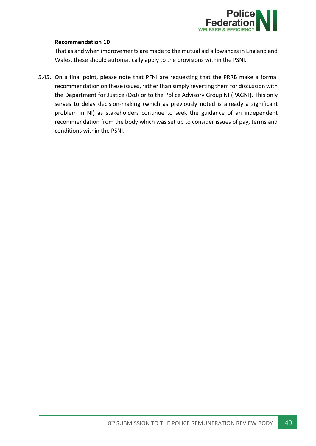

### **Recommendation 10**

That as and when improvements are made to the mutual aid allowances in England and Wales, these should automatically apply to the provisions within the PSNI.

5.45. On a final point, please note that PFNI are requesting that the PRRB make a formal recommendation on these issues, rather than simply reverting them for discussion with the Department for Justice (DoJ) or to the Police Advisory Group NI (PAGNI). This only serves to delay decision-making (which as previously noted is already a significant problem in NI) as stakeholders continue to seek the guidance of an independent recommendation from the body which was set up to consider issues of pay, terms and conditions within the PSNI.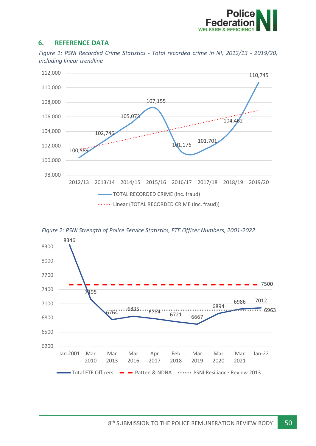

## <span id="page-50-0"></span>**6. REFERENCE DATA**

*Figure 1: PSNI Recorded Crime Statistics - Total recorded crime in NI, 2012/13 - 2019/20, including linear trendline*





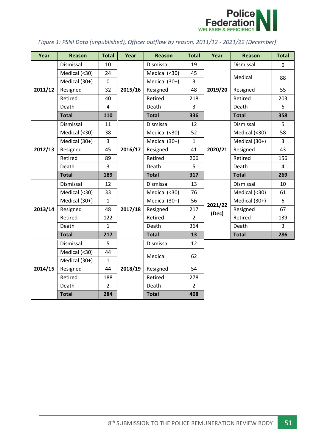

## *Figure 1: PSNI Data (unpublished), Officer outflow by reason, 2011/12 - 2021/22 (December)*

| Year    | <b>Reason</b> | <b>Total</b>   | Year    | <b>Reason</b> | <b>Total</b>   | Year             | <b>Reason</b> | <b>Total</b>   |
|---------|---------------|----------------|---------|---------------|----------------|------------------|---------------|----------------|
| 2011/12 | Dismissal     | 10             | 2015/16 | Dismissal     | 19             | 2019/20          | Dismissal     | 6              |
|         | Medical (<30) | 24             |         | Medical (<30) | 45             |                  | Medical       | 88             |
|         | Medical (30+) | $\mathbf 0$    |         | Medical (30+) | 3              |                  |               |                |
|         | Resigned      | 32             |         | Resigned      | 48             |                  | Resigned      | 55             |
|         | Retired       | 40             |         | Retired       | 218            |                  | Retired       | 203            |
|         | Death         | $\overline{4}$ |         | Death         | 3              |                  | Death         | 6              |
|         | <b>Total</b>  | 110            |         | <b>Total</b>  | 336            |                  | <b>Total</b>  | 358            |
|         | Dismissal     | 11             |         | Dismissal     | 12             | 2020/21          | Dismissal     | 5              |
|         | Medical (<30) | 38             |         | Medical (<30) | 52             |                  | Medical (<30) | 58             |
|         | Medical (30+) | 3              |         | Medical (30+) | $\mathbf 1$    |                  | Medical (30+) | 3              |
| 2012/13 | Resigned      | 45             | 2016/17 | Resigned      | 41             |                  | Resigned      | 43             |
|         | Retired       | 89             |         | Retired       | 206            |                  | Retired       | 156            |
|         | Death         | 3              |         | Death         | 5              |                  | Death         | 4              |
|         | <b>Total</b>  | 189            |         | <b>Total</b>  | 317            |                  | <b>Total</b>  | 269            |
|         | Dismissal     | 12             | 2017/18 | Dismissal     | 13             | 2021/22<br>(Dec) | Dismissal     | 10             |
|         | Medical (<30) | 33             |         | Medical (<30) | 76             |                  | Medical (<30) | 61             |
|         | Medical (30+) | $\mathbf{1}$   |         | Medical (30+) | 56             |                  | Medical (30+) | 6              |
| 2013/14 | Resigned      | 48             |         | Resigned      | 217            |                  | Resigned      | 67             |
|         | Retired       | 122            |         | Retired       | $\overline{2}$ |                  | Retired       | 139            |
|         | Death         | $\mathbf{1}$   |         | Death         | 364            |                  | Death         | $\overline{3}$ |
|         | <b>Total</b>  | 217            |         | <b>Total</b>  | 13             |                  | <b>Total</b>  | 286            |
|         | Dismissal     | 5              | 2018/19 | Dismissal     | 12             |                  |               |                |
|         | Medical (<30) | 44             |         | Medical       | 62             |                  |               |                |
|         | Medical (30+) | $\mathbf{1}$   |         |               |                |                  |               |                |
| 2014/15 | Resigned      | 44             |         | Resigned      | 54             |                  |               |                |
|         | Retired       | 188            |         | Retired       | 278            |                  |               |                |
|         | Death         | $\overline{2}$ |         | Death         | $\overline{2}$ |                  |               |                |
|         | <b>Total</b>  | 284            |         | <b>Total</b>  | 408            |                  |               |                |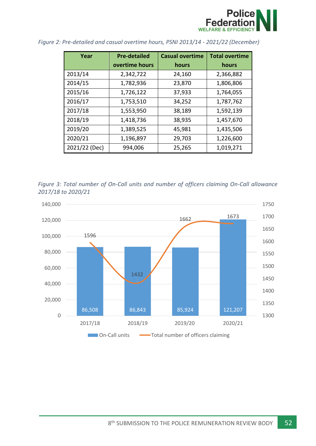

| Year          | <b>Pre-detailed</b> | <b>Casual overtime</b> | <b>Total overtime</b> |
|---------------|---------------------|------------------------|-----------------------|
|               | overtime hours      | hours                  | hours                 |
| 2013/14       | 2,342,722           | 24,160                 | 2,366,882             |
| 2014/15       | 1,782,936           | 23,870                 | 1,806,806             |
| 2015/16       | 1,726,122           | 37,933                 | 1,764,055             |
| 2016/17       | 1,753,510           | 34,252                 | 1,787,762             |
| 2017/18       | 1,553,950           | 38,189                 | 1,592,139             |
| 2018/19       | 1,418,736           | 38,935                 | 1,457,670             |
| 2019/20       | 1,389,525           | 45,981                 | 1,435,506             |
| 2020/21       | 1,196,897           | 29,703                 | 1,226,600             |
| 2021/22 (Dec) | 994,006             | 25,265                 | 1,019,271             |

*Figure 2: Pre-detailed and casual overtime hours, PSNI 2013/14 - 2021/22 (December)*

*Figure 3: Total number of On-Call units and number of officers claiming On-Call allowance 2017/18 to 2020/21*

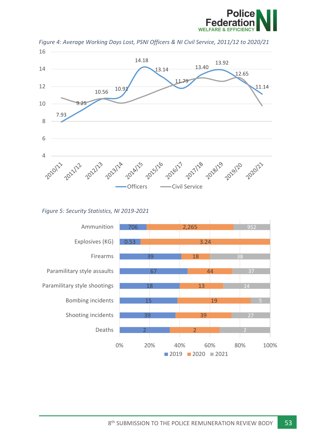



*Figure 4: Average Working Days Lost, PSNI Officers & NI Civil Service, 2011/12 to 2020/21*

*Figure 5: Security Statistics, NI 2019-2021*

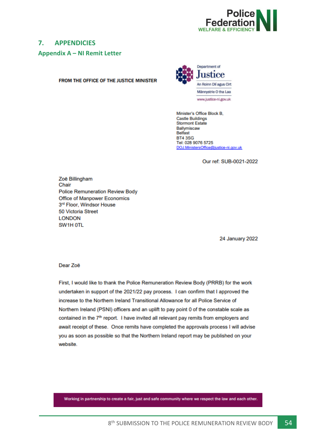

## <span id="page-54-0"></span>**7. APPENDICIES**

<span id="page-54-1"></span>**Appendix A – NI Remit Letter**

FROM THE OFFICE OF THE JUSTICE MINISTER



Minister's Office Block B, **Castle Buildings Stormont Estate** Ballymiscaw Belfast **BT43SG** Tel: 028 9076 5725 DOJ.MinistersOffice@justice-ni.gov.uk

Our ref: SUB-0021-2022

Zoë Billingham Chair **Police Remuneration Review Body** Office of Manpower Economics 3rd Floor, Windsor House 50 Victoria Street **LONDON** SW1H OTL

**24 January 2022** 

Dear Zoë

First, I would like to thank the Police Remuneration Review Body (PRRB) for the work undertaken in support of the 2021/22 pay process. I can confirm that I approved the increase to the Northern Ireland Transitional Allowance for all Police Service of Northern Ireland (PSNI) officers and an uplift to pay point 0 of the constable scale as contained in the 7<sup>th</sup> report. I have invited all relevant pay remits from employers and await receipt of these. Once remits have completed the approvals process I will advise you as soon as possible so that the Northern Ireland report may be published on your website.

Working in partnership to create a fair, just and safe community where we respect the law and each other.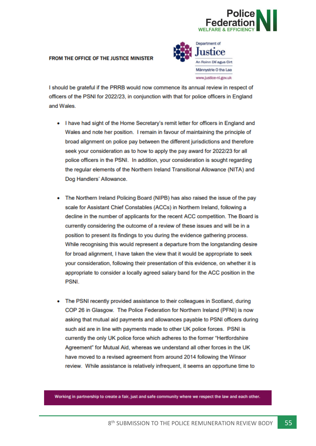

#### FROM THE OFFICE OF THE JUSTICE MINISTER



I should be grateful if the PRRB would now commence its annual review in respect of officers of the PSNI for 2022/23, in conjunction with that for police officers in England and Wales

- I have had sight of the Home Secretary's remit letter for officers in England and Wales and note her position. I remain in favour of maintaining the principle of broad alignment on police pay between the different jurisdictions and therefore seek your consideration as to how to apply the pay award for 2022/23 for all police officers in the PSNI. In addition, your consideration is sought regarding the regular elements of the Northern Ireland Transitional Allowance (NITA) and Dog Handlers' Allowance.
- The Northern Ireland Policing Board (NIPB) has also raised the issue of the pay scale for Assistant Chief Constables (ACCs) in Northern Ireland, following a decline in the number of applicants for the recent ACC competition. The Board is currently considering the outcome of a review of these issues and will be in a position to present its findings to you during the evidence gathering process. While recognising this would represent a departure from the longstanding desire for broad alignment, I have taken the view that it would be appropriate to seek your consideration, following their presentation of this evidence, on whether it is appropriate to consider a locally agreed salary band for the ACC position in the PSNI.
- The PSNI recently provided assistance to their colleagues in Scotland, during COP 26 in Glasgow. The Police Federation for Northern Ireland (PFNI) is now asking that mutual aid payments and allowances payable to PSNI officers during such aid are in line with payments made to other UK police forces. PSNI is currently the only UK police force which adheres to the former "Hertfordshire Agreement" for Mutual Aid, whereas we understand all other forces in the UK have moved to a revised agreement from around 2014 following the Winsor review. While assistance is relatively infrequent, it seems an opportune time to

Working in partnership to create a fair, just and safe community where we respect the law and each other.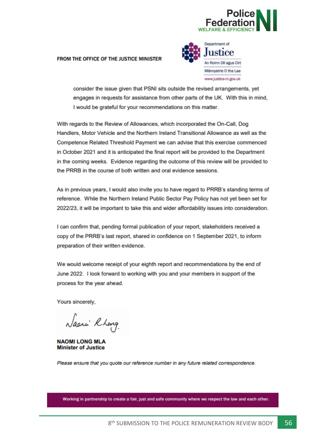

#### FROM THE OFFICE OF THE JUSTICE MINISTER



consider the issue given that PSNI sits outside the revised arrangements, yet engages in requests for assistance from other parts of the UK. With this in mind, I would be grateful for your recommendations on this matter.

With regards to the Review of Allowances, which incorporated the On-Call, Dog Handlers, Motor Vehicle and the Northern Ireland Transitional Allowance as well as the Competence Related Threshold Payment we can advise that this exercise commenced in October 2021 and it is anticipated the final report will be provided to the Department in the coming weeks. Evidence regarding the outcome of this review will be provided to the PRRB in the course of both written and oral evidence sessions.

As in previous years, I would also invite you to have regard to PRRB's standing terms of reference. While the Northern Ireland Public Sector Pay Policy has not yet been set for 2022/23, it will be important to take this and wider affordability issues into consideration.

I can confirm that, pending formal publication of your report, stakeholders received a copy of the PRRB's last report, shared in confidence on 1 September 2021, to inform preparation of their written evidence.

We would welcome receipt of your eighth report and recommendations by the end of June 2022. I look forward to working with you and your members in support of the process for the year ahead.

Yours sincerely.

Nacri Rhang

**NAOMI LONG MLA Minister of Justice** 

Please ensure that you quote our reference number in any future related correspondence.

Working in partnership to create a fair, just and safe community where we respect the law and each other.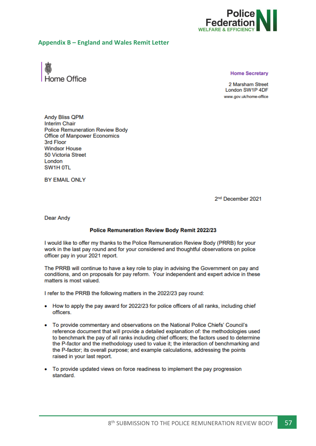

#### <span id="page-57-0"></span>**Appendix B – England and Wales Remit Letter**



**Home Secretary** 

2 Marsham Street London SW1P 4DF www.gov.uk/home-office

**Andy Bliss QPM Interim Chair Police Remuneration Review Body** Office of Manpower Economics 3rd Floor **Windsor House** 50 Victoria Street London SW1H OTL

**BY EMAIL ONLY** 

2<sup>nd</sup> December 2021

**Dear Andy** 

#### **Police Remuneration Review Body Remit 2022/23**

I would like to offer my thanks to the Police Remuneration Review Body (PRRB) for your work in the last pay round and for your considered and thoughtful observations on police officer pay in your 2021 report.

The PRRB will continue to have a key role to play in advising the Government on pay and conditions, and on proposals for pay reform. Your independent and expert advice in these matters is most valued.

I refer to the PRRB the following matters in the 2022/23 pay round:

- How to apply the pay award for 2022/23 for police officers of all ranks, including chief officers.
- To provide commentary and observations on the National Police Chiefs' Council's reference document that will provide a detailed explanation of: the methodologies used to benchmark the pay of all ranks including chief officers; the factors used to determine the P-factor and the methodology used to value it; the interaction of benchmarking and the P-factor; its overall purpose; and example calculations, addressing the points raised in your last report.
- To provide updated views on force readiness to implement the pay progression standard.